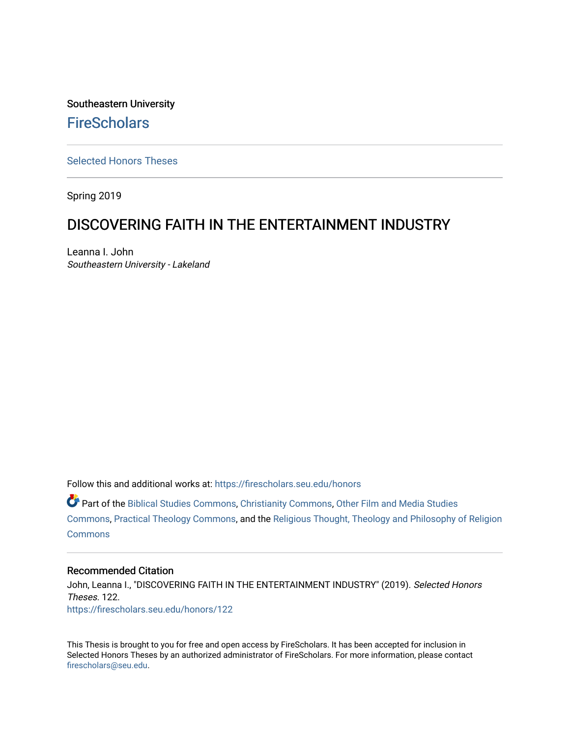Southeastern University **FireScholars** 

[Selected Honors Theses](https://firescholars.seu.edu/honors)

Spring 2019

## DISCOVERING FAITH IN THE ENTERTAINMENT INDUSTRY

Leanna I. John Southeastern University - Lakeland

Follow this and additional works at: [https://firescholars.seu.edu/honors](https://firescholars.seu.edu/honors?utm_source=firescholars.seu.edu%2Fhonors%2F122&utm_medium=PDF&utm_campaign=PDFCoverPages)

Part of the [Biblical Studies Commons,](http://network.bepress.com/hgg/discipline/539?utm_source=firescholars.seu.edu%2Fhonors%2F122&utm_medium=PDF&utm_campaign=PDFCoverPages) [Christianity Commons,](http://network.bepress.com/hgg/discipline/1181?utm_source=firescholars.seu.edu%2Fhonors%2F122&utm_medium=PDF&utm_campaign=PDFCoverPages) [Other Film and Media Studies](http://network.bepress.com/hgg/discipline/565?utm_source=firescholars.seu.edu%2Fhonors%2F122&utm_medium=PDF&utm_campaign=PDFCoverPages)  [Commons](http://network.bepress.com/hgg/discipline/565?utm_source=firescholars.seu.edu%2Fhonors%2F122&utm_medium=PDF&utm_campaign=PDFCoverPages), [Practical Theology Commons,](http://network.bepress.com/hgg/discipline/1186?utm_source=firescholars.seu.edu%2Fhonors%2F122&utm_medium=PDF&utm_campaign=PDFCoverPages) and the [Religious Thought, Theology and Philosophy of Religion](http://network.bepress.com/hgg/discipline/544?utm_source=firescholars.seu.edu%2Fhonors%2F122&utm_medium=PDF&utm_campaign=PDFCoverPages)  **[Commons](http://network.bepress.com/hgg/discipline/544?utm_source=firescholars.seu.edu%2Fhonors%2F122&utm_medium=PDF&utm_campaign=PDFCoverPages)** 

#### Recommended Citation

John, Leanna I., "DISCOVERING FAITH IN THE ENTERTAINMENT INDUSTRY" (2019). Selected Honors Theses. 122. [https://firescholars.seu.edu/honors/122](https://firescholars.seu.edu/honors/122?utm_source=firescholars.seu.edu%2Fhonors%2F122&utm_medium=PDF&utm_campaign=PDFCoverPages)

This Thesis is brought to you for free and open access by FireScholars. It has been accepted for inclusion in Selected Honors Theses by an authorized administrator of FireScholars. For more information, please contact [firescholars@seu.edu.](mailto:firescholars@seu.edu)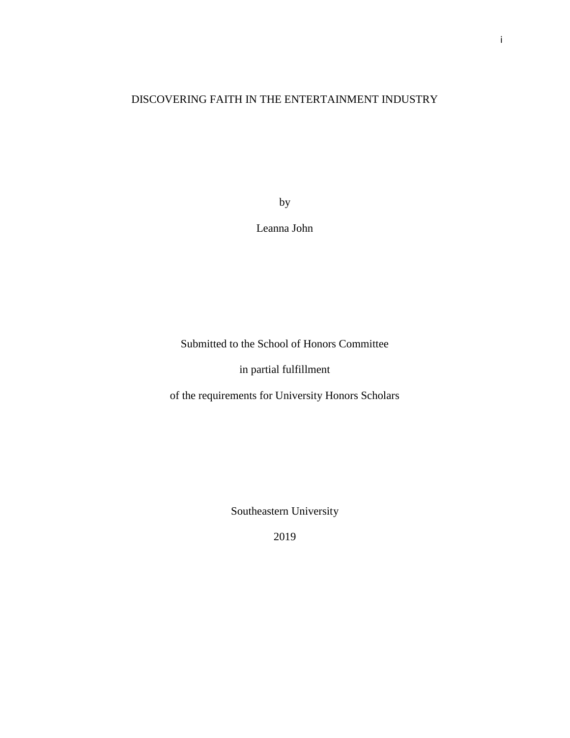### DISCOVERING FAITH IN THE ENTERTAINMENT INDUSTRY

by

Leanna John

Submitted to the School of Honors Committee

in partial fulfillment

of the requirements for University Honors Scholars

Southeastern University

2019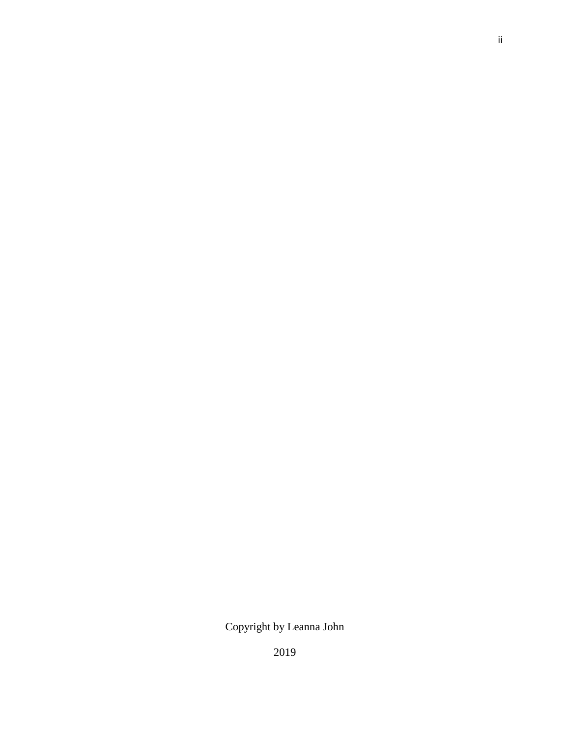# Copyright by Leanna John

2019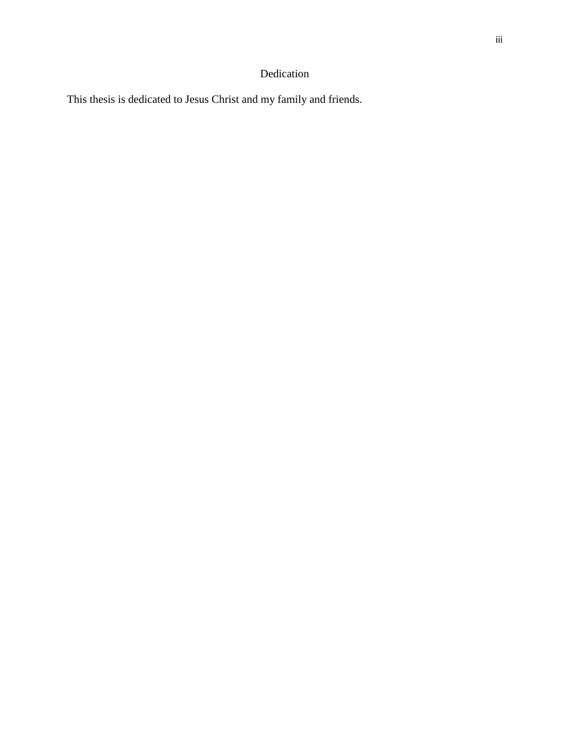### Dedication

This thesis is dedicated to Jesus Christ and my family and friends.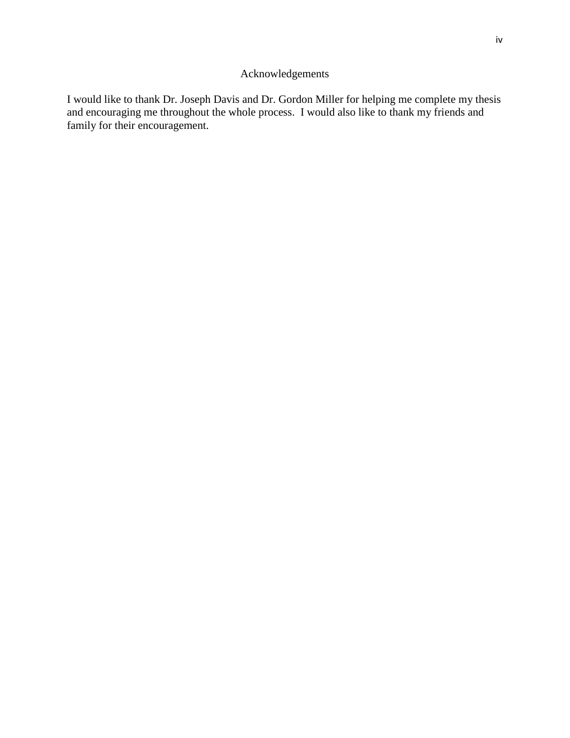### Acknowledgements

I would like to thank Dr. Joseph Davis and Dr. Gordon Miller for helping me complete my thesis and encouraging me throughout the whole process. I would also like to thank my friends and family for their encouragement.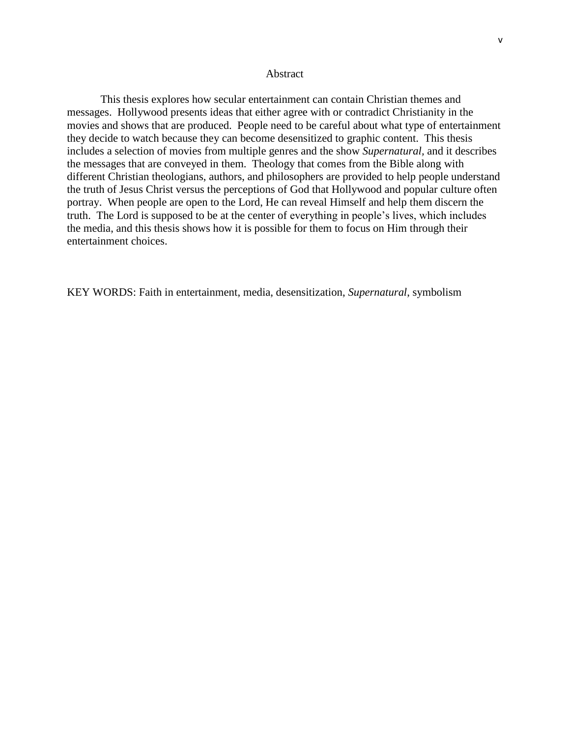This thesis explores how secular entertainment can contain Christian themes and messages. Hollywood presents ideas that either agree with or contradict Christianity in the movies and shows that are produced. People need to be careful about what type of entertainment they decide to watch because they can become desensitized to graphic content. This thesis includes a selection of movies from multiple genres and the show *Supernatural,* and it describes the messages that are conveyed in them. Theology that comes from the Bible along with different Christian theologians, authors, and philosophers are provided to help people understand the truth of Jesus Christ versus the perceptions of God that Hollywood and popular culture often portray. When people are open to the Lord, He can reveal Himself and help them discern the truth. The Lord is supposed to be at the center of everything in people's lives, which includes the media, and this thesis shows how it is possible for them to focus on Him through their entertainment choices.

KEY WORDS: Faith in entertainment, media, desensitization, *Supernatural*, symbolism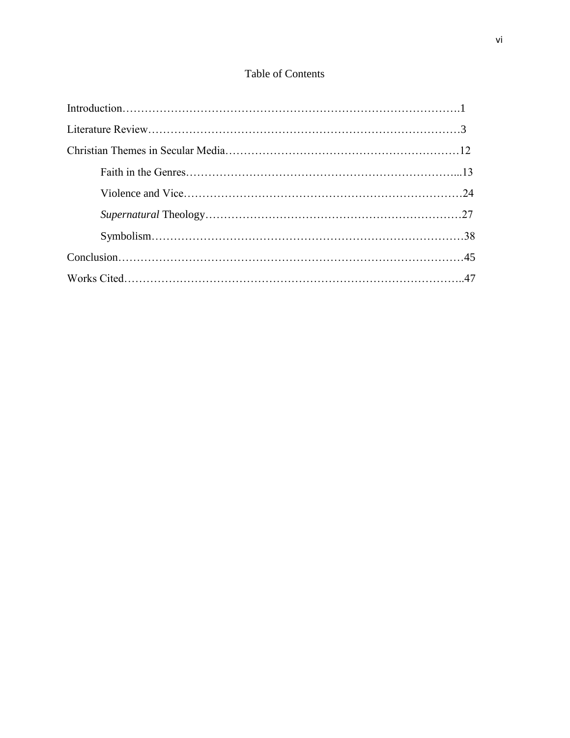# Table of Contents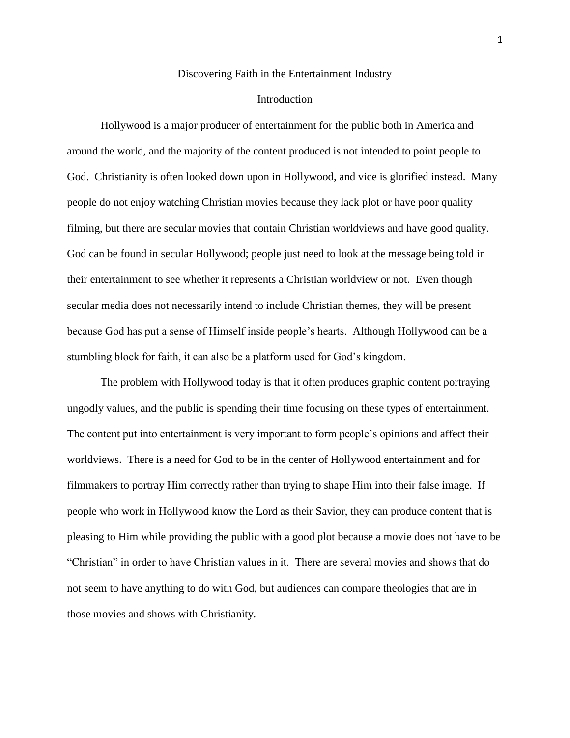#### Discovering Faith in the Entertainment Industry

#### Introduction

Hollywood is a major producer of entertainment for the public both in America and around the world, and the majority of the content produced is not intended to point people to God. Christianity is often looked down upon in Hollywood, and vice is glorified instead. Many people do not enjoy watching Christian movies because they lack plot or have poor quality filming, but there are secular movies that contain Christian worldviews and have good quality. God can be found in secular Hollywood; people just need to look at the message being told in their entertainment to see whether it represents a Christian worldview or not. Even though secular media does not necessarily intend to include Christian themes, they will be present because God has put a sense of Himself inside people's hearts. Although Hollywood can be a stumbling block for faith, it can also be a platform used for God's kingdom.

The problem with Hollywood today is that it often produces graphic content portraying ungodly values, and the public is spending their time focusing on these types of entertainment. The content put into entertainment is very important to form people's opinions and affect their worldviews. There is a need for God to be in the center of Hollywood entertainment and for filmmakers to portray Him correctly rather than trying to shape Him into their false image. If people who work in Hollywood know the Lord as their Savior, they can produce content that is pleasing to Him while providing the public with a good plot because a movie does not have to be "Christian" in order to have Christian values in it. There are several movies and shows that do not seem to have anything to do with God, but audiences can compare theologies that are in those movies and shows with Christianity.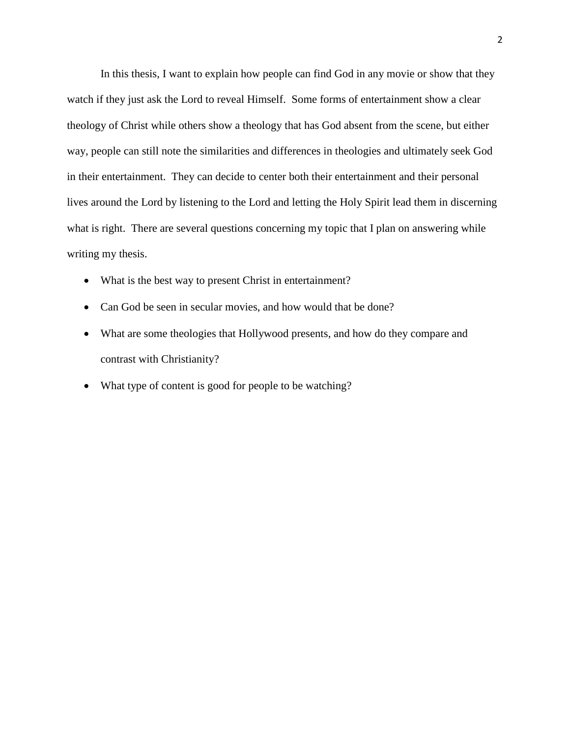In this thesis, I want to explain how people can find God in any movie or show that they watch if they just ask the Lord to reveal Himself. Some forms of entertainment show a clear theology of Christ while others show a theology that has God absent from the scene, but either way, people can still note the similarities and differences in theologies and ultimately seek God in their entertainment. They can decide to center both their entertainment and their personal lives around the Lord by listening to the Lord and letting the Holy Spirit lead them in discerning what is right. There are several questions concerning my topic that I plan on answering while writing my thesis.

- What is the best way to present Christ in entertainment?
- Can God be seen in secular movies, and how would that be done?
- What are some theologies that Hollywood presents, and how do they compare and contrast with Christianity?
- What type of content is good for people to be watching?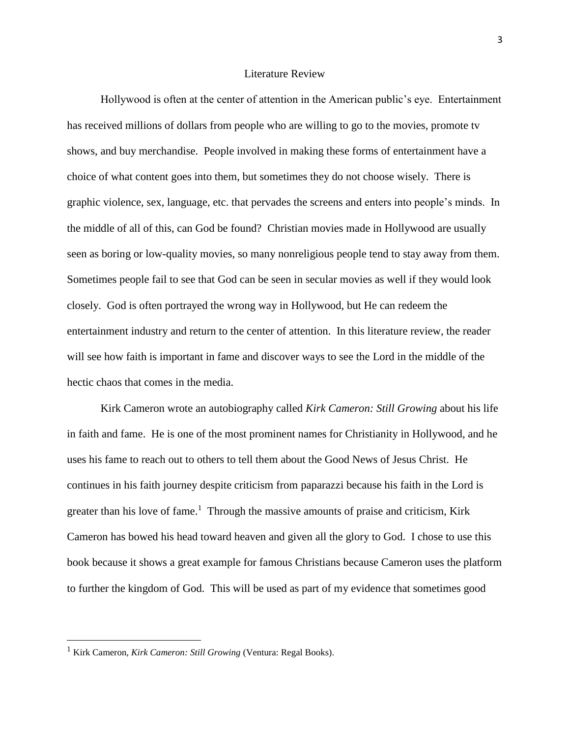#### Literature Review

Hollywood is often at the center of attention in the American public's eye. Entertainment has received millions of dollars from people who are willing to go to the movies, promote tv shows, and buy merchandise. People involved in making these forms of entertainment have a choice of what content goes into them, but sometimes they do not choose wisely. There is graphic violence, sex, language, etc. that pervades the screens and enters into people's minds. In the middle of all of this, can God be found? Christian movies made in Hollywood are usually seen as boring or low-quality movies, so many nonreligious people tend to stay away from them. Sometimes people fail to see that God can be seen in secular movies as well if they would look closely. God is often portrayed the wrong way in Hollywood, but He can redeem the entertainment industry and return to the center of attention. In this literature review, the reader will see how faith is important in fame and discover ways to see the Lord in the middle of the hectic chaos that comes in the media.

Kirk Cameron wrote an autobiography called *Kirk Cameron: Still Growing* about his life in faith and fame. He is one of the most prominent names for Christianity in Hollywood, and he uses his fame to reach out to others to tell them about the Good News of Jesus Christ. He continues in his faith journey despite criticism from paparazzi because his faith in the Lord is greater than his love of fame.<sup>1</sup> Through the massive amounts of praise and criticism, Kirk Cameron has bowed his head toward heaven and given all the glory to God. I chose to use this book because it shows a great example for famous Christians because Cameron uses the platform to further the kingdom of God. This will be used as part of my evidence that sometimes good

 $\overline{a}$ 

<sup>1</sup> Kirk Cameron, *Kirk Cameron: Still Growing* (Ventura: Regal Books).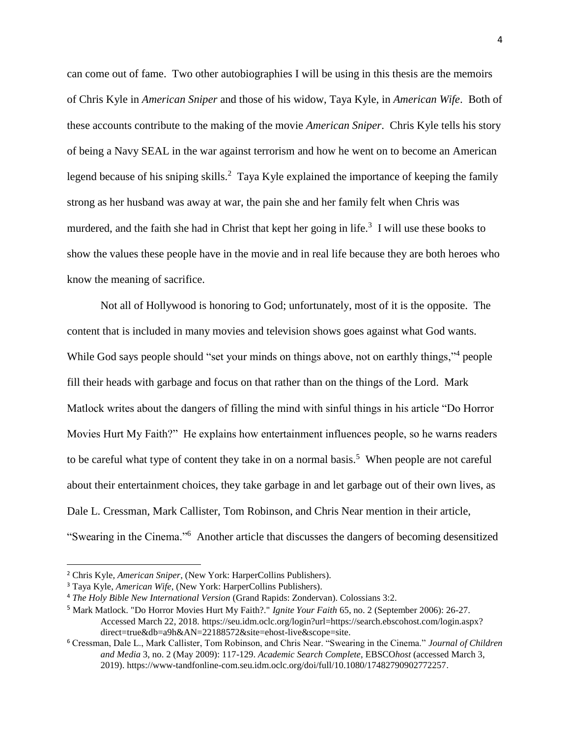can come out of fame. Two other autobiographies I will be using in this thesis are the memoirs of Chris Kyle in *American Sniper* and those of his widow, Taya Kyle, in *American Wife*. Both of these accounts contribute to the making of the movie *American Sniper*. Chris Kyle tells his story of being a Navy SEAL in the war against terrorism and how he went on to become an American legend because of his sniping skills.<sup>2</sup> Taya Kyle explained the importance of keeping the family strong as her husband was away at war, the pain she and her family felt when Chris was murdered, and the faith she had in Christ that kept her going in life.<sup>3</sup> I will use these books to show the values these people have in the movie and in real life because they are both heroes who know the meaning of sacrifice.

Not all of Hollywood is honoring to God; unfortunately, most of it is the opposite. The content that is included in many movies and television shows goes against what God wants. While God says people should "set your minds on things above, not on earthly things,"<sup>4</sup> people fill their heads with garbage and focus on that rather than on the things of the Lord. Mark Matlock writes about the dangers of filling the mind with sinful things in his article "Do Horror Movies Hurt My Faith?" He explains how entertainment influences people, so he warns readers to be careful what type of content they take in on a normal basis.<sup>5</sup> When people are not careful about their entertainment choices, they take garbage in and let garbage out of their own lives, as Dale L. Cressman, Mark Callister, Tom Robinson, and Chris Near mention in their article, "Swearing in the Cinema."<sup>6</sup> Another article that discusses the dangers of becoming desensitized

 $\overline{a}$ 

<sup>2</sup> Chris Kyle, *American Sniper*, (New York: HarperCollins Publishers).

<sup>3</sup> Taya Kyle, *American Wife*, (New York: HarperCollins Publishers).

<sup>4</sup> *The Holy Bible New International Version* (Grand Rapids: Zondervan). Colossians 3:2.

<sup>5</sup> Mark Matlock. "Do Horror Movies Hurt My Faith?." *Ignite Your Faith* 65, no. 2 (September 2006): 26-27. Accessed March 22, 2018. [https://seu.idm.oclc.org/login?url=https://search.ebscohost.com/login.aspx?](https://seu.idm.oclc.org/login?url=https://search.ebscohost.com/login.aspx) direct=true&db=a9h&AN=22188572&site=ehost-live&scope=site.

<sup>6</sup> Cressman, Dale L., Mark Callister, Tom Robinson, and Chris Near. "Swearing in the Cinema." *Journal of Children and Media* 3, no. 2 (May 2009): 117-129. *Academic Search Complete*, EBSCO*host* (accessed March 3, 2019). https://www-tandfonline-com.seu.idm.oclc.org/doi/full/10.1080/17482790902772257.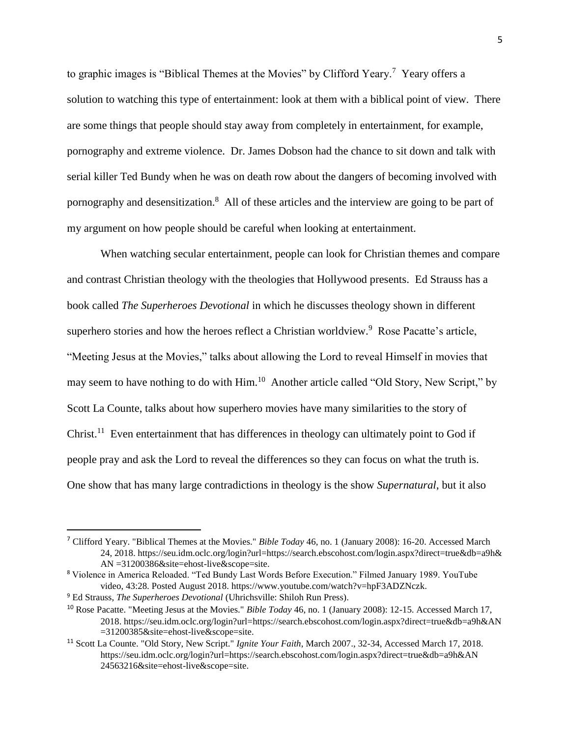to graphic images is "Biblical Themes at the Movies" by Clifford Yeary.<sup>7</sup> Yeary offers a solution to watching this type of entertainment: look at them with a biblical point of view. There are some things that people should stay away from completely in entertainment, for example, pornography and extreme violence. Dr. James Dobson had the chance to sit down and talk with serial killer Ted Bundy when he was on death row about the dangers of becoming involved with pornography and desensitization.<sup>8</sup> All of these articles and the interview are going to be part of my argument on how people should be careful when looking at entertainment.

When watching secular entertainment, people can look for Christian themes and compare and contrast Christian theology with the theologies that Hollywood presents. Ed Strauss has a book called *The Superheroes Devotional* in which he discusses theology shown in different superhero stories and how the heroes reflect a Christian worldview.<sup>9</sup> Rose Pacatte's article, "Meeting Jesus at the Movies," talks about allowing the Lord to reveal Himself in movies that may seem to have nothing to do with Him.<sup>10</sup> Another article called "Old Story, New Script," by Scott La Counte, talks about how superhero movies have many similarities to the story of Christ.<sup>11</sup> Even entertainment that has differences in theology can ultimately point to God if people pray and ask the Lord to reveal the differences so they can focus on what the truth is. One show that has many large contradictions in theology is the show *Supernatural*, but it also

<sup>7</sup> Clifford Yeary. "Biblical Themes at the Movies." *Bible Today* 46, no. 1 (January 2008): 16-20. Accessed March 24, 2018. https://seu.idm.oclc.org/login?url=https://search.ebscohost.com/login.aspx?direct=true&db=a9h& AN =31200386&site=ehost-live&scope=site.

<sup>8</sup> Violence in America Reloaded. "Ted Bundy Last Words Before Execution." Filmed January 1989. YouTube video, 43:28. Posted August 2018. https://www.youtube.com/watch?v=hpF3ADZNczk.

<sup>9</sup> Ed Strauss, *The Superheroes Devotional* (Uhrichsville: Shiloh Run Press).

<sup>10</sup> Rose Pacatte. "Meeting Jesus at the Movies." *Bible Today* 46, no. 1 (January 2008): 12-15. Accessed March 17, 2018. <https://seu.idm.oclc.org/login?url=https://search.ebscohost.com/login.aspx?direct=true&db=a9h&AN> =31200385&site=ehost-live&scope=site.

<sup>11</sup> Scott La Counte. "Old Story, New Script." *Ignite Your Faith*, March 2007., 32-34, Accessed March 17, 2018. <https://seu.idm.oclc.org/login?url=https://search.ebscohost.com/login.aspx?direct=true&db=a9h&AN> 24563216&site=ehost-live&scope=site.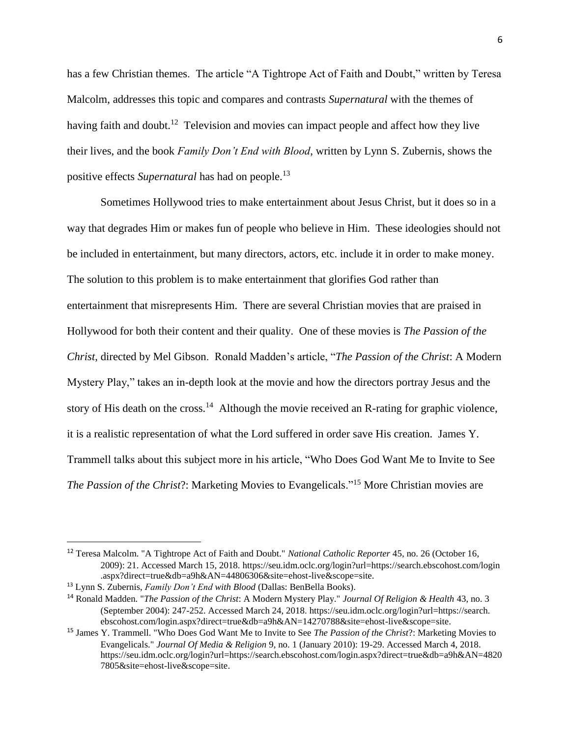has a few Christian themes. The article "A Tightrope Act of Faith and Doubt," written by Teresa Malcolm, addresses this topic and compares and contrasts *Supernatural* with the themes of having faith and doubt.<sup>12</sup> Television and movies can impact people and affect how they live their lives, and the book *Family Don't End with Blood*, written by Lynn S. Zubernis, shows the positive effects *Supernatural* has had on people.<sup>13</sup>

Sometimes Hollywood tries to make entertainment about Jesus Christ, but it does so in a way that degrades Him or makes fun of people who believe in Him. These ideologies should not be included in entertainment, but many directors, actors, etc. include it in order to make money. The solution to this problem is to make entertainment that glorifies God rather than entertainment that misrepresents Him. There are several Christian movies that are praised in Hollywood for both their content and their quality. One of these movies is *The Passion of the Christ*, directed by Mel Gibson. Ronald Madden's article, "*The Passion of the Christ*: A Modern Mystery Play," takes an in-depth look at the movie and how the directors portray Jesus and the story of His death on the cross.<sup>14</sup> Although the movie received an R-rating for graphic violence, it is a realistic representation of what the Lord suffered in order save His creation. James Y. Trammell talks about this subject more in his article, "Who Does God Want Me to Invite to See *The Passion of the Christ*?: Marketing Movies to Evangelicals."<sup>15</sup> More Christian movies are

<sup>12</sup> Teresa Malcolm. "A Tightrope Act of Faith and Doubt." *National Catholic Reporter* 45, no. 26 (October 16, 2009): 21. Accessed March 15, 2018. <https://seu.idm.oclc.org/login?url=https://search.ebscohost.com/login> .aspx?direct=true&db=a9h&AN=44806306&site=ehost-live&scope=site.

<sup>13</sup> Lynn S. Zubernis, *Family Don't End with Blood* (Dallas: BenBella Books).

<sup>14</sup> Ronald Madden. "*The Passion of the Christ*: A Modern Mystery Play." *Journal Of Religion & Health* 43, no. 3 (September 2004): 247-252. Accessed March 24, 2018. https://seu.idm.oclc.org/login?url=https://search. ebscohost.com/login.aspx?direct=true&db=a9h&AN=14270788&site=ehost-live&scope=site.

<sup>15</sup> James Y. Trammell. "Who Does God Want Me to Invite to See *The Passion of the Christ*?: Marketing Movies to Evangelicals." *Journal Of Media & Religion* 9, no. 1 (January 2010): 19-29. Accessed March 4, 2018. https://seu.idm.oclc.org/login?url=https://search.ebscohost.com/login.aspx?direct=true&db=a9h&AN=4820 7805&site=ehost-live&scope=site.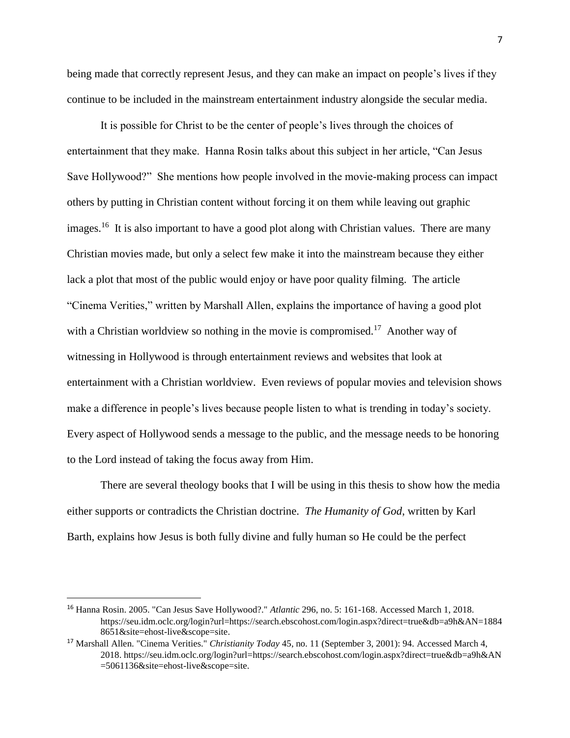being made that correctly represent Jesus, and they can make an impact on people's lives if they continue to be included in the mainstream entertainment industry alongside the secular media.

It is possible for Christ to be the center of people's lives through the choices of entertainment that they make. Hanna Rosin talks about this subject in her article, "Can Jesus Save Hollywood?" She mentions how people involved in the movie-making process can impact others by putting in Christian content without forcing it on them while leaving out graphic images.<sup>16</sup> It is also important to have a good plot along with Christian values. There are many Christian movies made, but only a select few make it into the mainstream because they either lack a plot that most of the public would enjoy or have poor quality filming. The article "Cinema Verities," written by Marshall Allen, explains the importance of having a good plot with a Christian worldview so nothing in the movie is compromised.<sup>17</sup> Another way of witnessing in Hollywood is through entertainment reviews and websites that look at entertainment with a Christian worldview. Even reviews of popular movies and television shows make a difference in people's lives because people listen to what is trending in today's society. Every aspect of Hollywood sends a message to the public, and the message needs to be honoring to the Lord instead of taking the focus away from Him.

There are several theology books that I will be using in this thesis to show how the media either supports or contradicts the Christian doctrine. *The Humanity of God*, written by Karl Barth, explains how Jesus is both fully divine and fully human so He could be the perfect

<sup>16</sup> Hanna Rosin. 2005. "Can Jesus Save Hollywood?." *Atlantic* 296, no. 5: 161-168. Accessed March 1, 2018. https://seu.idm.oclc.org/login?url=https://search.ebscohost.com/login.aspx?direct=true&db=a9h&AN=1884 8651&site=ehost-live&scope=site.

<sup>17</sup> Marshall Allen. "Cinema Verities." *Christianity Today* 45, no. 11 (September 3, 2001): 94. Accessed March 4, 2018. https://seu.idm.oclc.org/login?url=https://search.ebscohost.com/login.aspx?direct=true&db=a9h&AN =5061136&site=ehost-live&scope=site.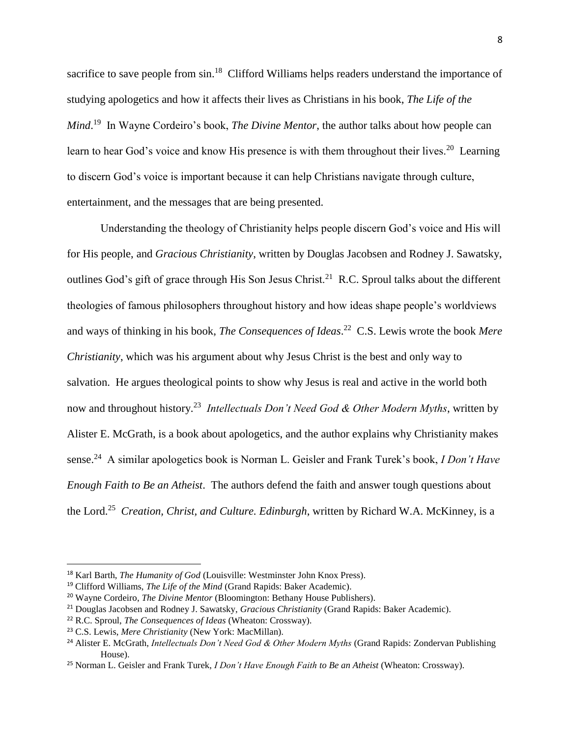sacrifice to save people from sin.<sup>18</sup> Clifford Williams helps readers understand the importance of studying apologetics and how it affects their lives as Christians in his book, *The Life of the Mind*. 19 In Wayne Cordeiro's book, *The Divine Mentor*, the author talks about how people can learn to hear God's voice and know His presence is with them throughout their lives.<sup>20</sup> Learning to discern God's voice is important because it can help Christians navigate through culture, entertainment, and the messages that are being presented.

Understanding the theology of Christianity helps people discern God's voice and His will for His people, and *Gracious Christianity*, written by Douglas Jacobsen and Rodney J. Sawatsky, outlines God's gift of grace through His Son Jesus Christ.<sup>21</sup> R.C. Sproul talks about the different theologies of famous philosophers throughout history and how ideas shape people's worldviews and ways of thinking in his book, *The Consequences of Ideas*. 22 C.S. Lewis wrote the book *Mere Christianity*, which was his argument about why Jesus Christ is the best and only way to salvation. He argues theological points to show why Jesus is real and active in the world both now and throughout history.<sup>23</sup> Intellectuals Don't Need God & Other Modern Myths, written by Alister E. McGrath, is a book about apologetics, and the author explains why Christianity makes sense.<sup>24</sup> A similar apologetics book is Norman L. Geisler and Frank Turek's book, *I Don't Have Enough Faith to Be an Atheist*. The authors defend the faith and answer tough questions about the Lord.<sup>25</sup> *Creation, Christ, and Culture. Edinburgh*, written by Richard W.A. McKinney, is a

<sup>18</sup> Karl Barth, *The Humanity of God* (Louisville: Westminster John Knox Press).

<sup>&</sup>lt;sup>19</sup> Clifford Williams, *The Life of the Mind* (Grand Rapids: Baker Academic).

<sup>20</sup> Wayne Cordeiro, *The Divine Mentor* (Bloomington: Bethany House Publishers).

<sup>21</sup> Douglas Jacobsen and Rodney J. Sawatsky, *Gracious Christianity* (Grand Rapids: Baker Academic).

<sup>22</sup> R.C. Sproul, *The Consequences of Ideas* (Wheaton: Crossway).

<sup>23</sup> C.S. Lewis, *Mere Christianity* (New York: MacMillan).

<sup>24</sup> Alister E. McGrath, *Intellectuals Don't Need God & Other Modern Myths* (Grand Rapids: Zondervan Publishing House).

<sup>25</sup> Norman L. Geisler and Frank Turek, *I Don't Have Enough Faith to Be an Atheist* (Wheaton: Crossway).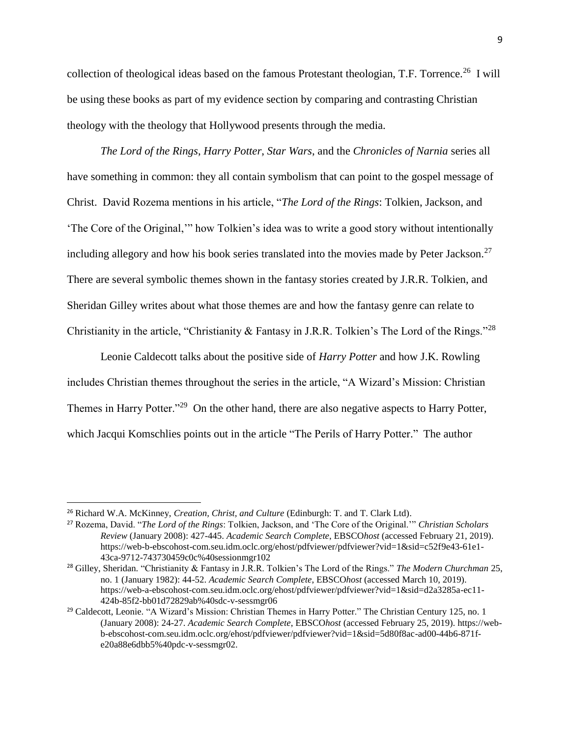collection of theological ideas based on the famous Protestant theologian, T.F. Torrence.<sup>26</sup> I will be using these books as part of my evidence section by comparing and contrasting Christian theology with the theology that Hollywood presents through the media.

*The Lord of the Rings*, *Harry Potter*, *Star Wars*, and the *Chronicles of Narnia* series all have something in common: they all contain symbolism that can point to the gospel message of Christ. David Rozema mentions in his article, "*The Lord of the Rings*: Tolkien, Jackson, and 'The Core of the Original,'" how Tolkien's idea was to write a good story without intentionally including allegory and how his book series translated into the movies made by Peter Jackson.<sup>27</sup> There are several symbolic themes shown in the fantasy stories created by J.R.R. Tolkien, and Sheridan Gilley writes about what those themes are and how the fantasy genre can relate to Christianity in the article, "Christianity & Fantasy in J.R.R. Tolkien's The Lord of the Rings."<sup>28</sup>

Leonie Caldecott talks about the positive side of *Harry Potter* and how J.K. Rowling includes Christian themes throughout the series in the article, "A Wizard's Mission: Christian Themes in Harry Potter."<sup>29</sup> On the other hand, there are also negative aspects to Harry Potter, which Jacqui Komschlies points out in the article "The Perils of Harry Potter." The author

 $\overline{a}$ 

<sup>26</sup> Richard W.A. McKinney, *Creation, Christ, and Culture* (Edinburgh: T. and T. Clark Ltd).

<sup>27</sup> Rozema, David. "*The Lord of the Rings*: Tolkien, Jackson, and 'The Core of the Original.'" *Christian Scholars Review* (January 2008): 427-445. *Academic Search Complete*, EBSCO*host* (accessed February 21, 2019). https://web-b-ebscohost-com.seu.idm.oclc.org/ehost/pdfviewer/pdfviewer?vid=1&sid=c52f9e43-61e1- 43ca-9712-743730459c0c%40sessionmgr102

<sup>28</sup> Gilley, Sheridan. "Christianity & Fantasy in J.R.R. Tolkien's The Lord of the Rings." *The Modern Churchman* 25, no. 1 (January 1982): 44-52. *Academic Search Complete*, EBSCO*host* (accessed March 10, 2019). https://web-a-ebscohost-com.seu.idm.oclc.org/ehost/pdfviewer/pdfviewer?vid=1&sid=d2a3285a-ec11- 424b-85f2-bb01d72829ab%40sdc-v-sessmgr06

<sup>&</sup>lt;sup>29</sup> Caldecott, Leonie. "A Wizard's Mission: Christian Themes in Harry Potter." The Christian Century 125, no. 1 (January 2008): 24-27. *Academic Search Complete*, EBSCO*host* (accessed February 25, 2019). https://webb-ebscohost-com.seu.idm.oclc.org/ehost/pdfviewer/pdfviewer?vid=1&sid=5d80f8ac-ad00-44b6-871fe20a88e6dbb5%40pdc-v-sessmgr02.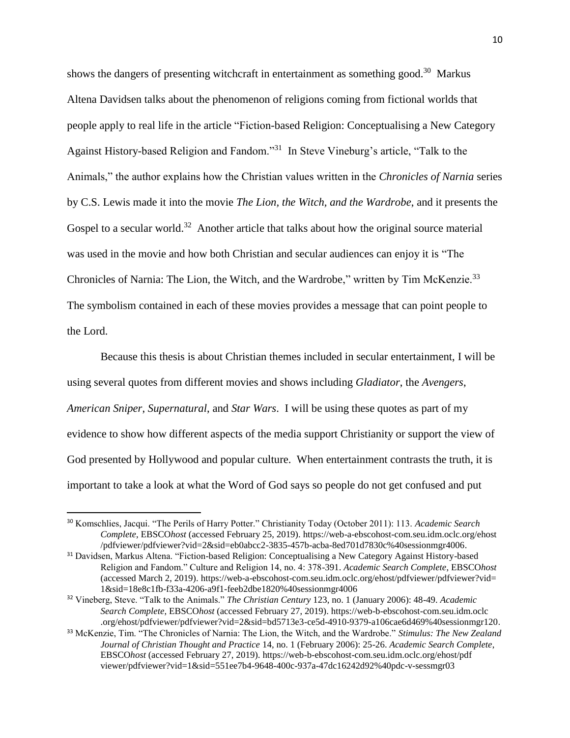shows the dangers of presenting witchcraft in entertainment as something good.<sup>30</sup> Markus Altena Davidsen talks about the phenomenon of religions coming from fictional worlds that people apply to real life in the article "Fiction-based Religion: Conceptualising a New Category Against History-based Religion and Fandom."<sup>31</sup> In Steve Vineburg's article, "Talk to the Animals," the author explains how the Christian values written in the *Chronicles of Narnia* series by C.S. Lewis made it into the movie *The Lion, the Witch, and the Wardrobe*, and it presents the Gospel to a secular world.<sup>32</sup> Another article that talks about how the original source material was used in the movie and how both Christian and secular audiences can enjoy it is "The Chronicles of Narnia: The Lion, the Witch, and the Wardrobe," written by Tim McKenzie.<sup>33</sup> The symbolism contained in each of these movies provides a message that can point people to the Lord.

Because this thesis is about Christian themes included in secular entertainment, I will be using several quotes from different movies and shows including *Gladiator*, the *Avengers*, *American Sniper*, *Supernatural*, and *Star Wars*. I will be using these quotes as part of my evidence to show how different aspects of the media support Christianity or support the view of God presented by Hollywood and popular culture. When entertainment contrasts the truth, it is important to take a look at what the Word of God says so people do not get confused and put

<sup>30</sup> Komschlies, Jacqui. "The Perils of Harry Potter." Christianity Today (October 2011): 113. *Academic Search Complete*, EBSCO*host* (accessed February 25, 2019). https://web-a-ebscohost-com.seu.idm.oclc.org/ehost /pdfviewer/pdfviewer?vid=2&sid=eb0abcc2-3835-457b-acba-8ed701d7830c%40sessionmgr4006.

<sup>31</sup> Davidsen, Markus Altena. "Fiction-based Religion: Conceptualising a New Category Against History-based Religion and Fandom." Culture and Religion 14, no. 4: 378-391. *Academic Search Complete*, EBSCO*host* (accessed March 2, 2019). https://web-a-ebscohost-com.seu.idm.oclc.org/ehost/pdfviewer/pdfviewer?vid= 1&sid=18e8c1fb-f33a-4206-a9f1-feeb2dbe1820%40sessionmgr4006

<sup>32</sup> Vineberg, Steve. "Talk to the Animals." *The Christian Century* 123, no. 1 (January 2006): 48-49. *Academic Search Complete*, EBSCO*host* (accessed February 27, 2019). https://web-b-ebscohost-com.seu.idm.oclc .org/ehost/pdfviewer/pdfviewer?vid=2&sid=bd5713e3-ce5d-4910-9379-a106cae6d469%40sessionmgr120.

<sup>33</sup> McKenzie, Tim. "The Chronicles of Narnia: The Lion, the Witch, and the Wardrobe." *Stimulus: The New Zealand Journal of Christian Thought and Practice* 14, no. 1 (February 2006): 25-26. *Academic Search Complete*, EBSCO*host* (accessed February 27, 2019). https://web-b-ebscohost-com.seu.idm.oclc.org/ehost/pdf viewer/pdfviewer?vid=1&sid=551ee7b4-9648-400c-937a-47dc16242d92%40pdc-v-sessmgr03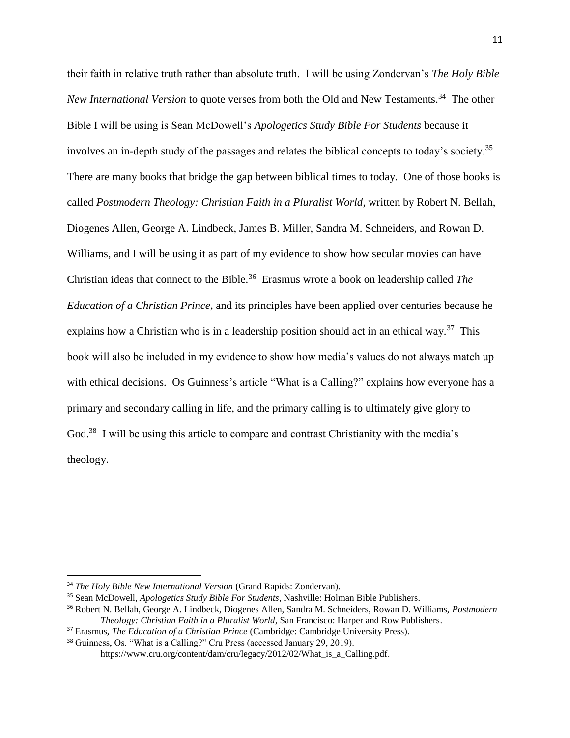their faith in relative truth rather than absolute truth. I will be using Zondervan's *The Holy Bible New International Version* to quote verses from both the Old and New Testaments.<sup>34</sup> The other Bible I will be using is Sean McDowell's *Apologetics Study Bible For Students* because it involves an in-depth study of the passages and relates the biblical concepts to today's society.<sup>35</sup> There are many books that bridge the gap between biblical times to today. One of those books is called *Postmodern Theology: Christian Faith in a Pluralist World*, written by Robert N. Bellah, Diogenes Allen, George A. Lindbeck, James B. Miller, Sandra M. Schneiders, and Rowan D. Williams, and I will be using it as part of my evidence to show how secular movies can have Christian ideas that connect to the Bible.<sup>36</sup> Erasmus wrote a book on leadership called *The Education of a Christian Prince*, and its principles have been applied over centuries because he explains how a Christian who is in a leadership position should act in an ethical way.<sup>37</sup> This book will also be included in my evidence to show how media's values do not always match up with ethical decisions. Os Guinness's article "What is a Calling?" explains how everyone has a primary and secondary calling in life, and the primary calling is to ultimately give glory to God.<sup>38</sup> I will be using this article to compare and contrast Christianity with the media's theology.

 $\overline{a}$ 

<sup>34</sup> *The Holy Bible New International Version* (Grand Rapids: Zondervan).

<sup>35</sup> Sean McDowell, *Apologetics Study Bible For Students*, Nashville: Holman Bible Publishers.

<sup>36</sup> Robert N. Bellah, George A. Lindbeck, Diogenes Allen, Sandra M. Schneiders, Rowan D. Williams, *Postmodern Theology: Christian Faith in a Pluralist World*, San Francisco: Harper and Row Publishers.

<sup>37</sup> Erasmus, *The Education of a Christian Prince* (Cambridge: Cambridge University Press).

<sup>38</sup> Guinness, Os. "What is a Calling?" Cru Press (accessed January 29, 2019).

https://www.cru.org/content/dam/cru/legacy/2012/02/What is a Calling.pdf.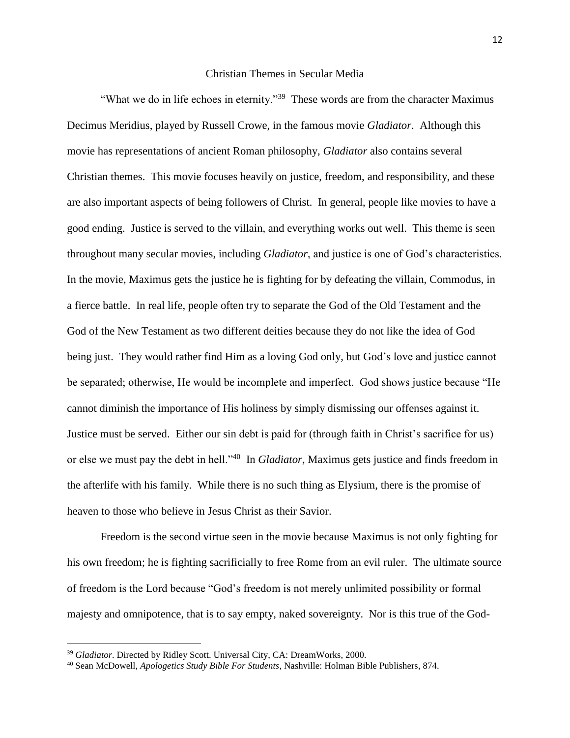#### Christian Themes in Secular Media

"What we do in life echoes in eternity."<sup>39</sup> These words are from the character Maximus Decimus Meridius, played by Russell Crowe, in the famous movie *Gladiator*. Although this movie has representations of ancient Roman philosophy, *Gladiator* also contains several Christian themes. This movie focuses heavily on justice, freedom, and responsibility, and these are also important aspects of being followers of Christ. In general, people like movies to have a good ending. Justice is served to the villain, and everything works out well. This theme is seen throughout many secular movies, including *Gladiator*, and justice is one of God's characteristics. In the movie, Maximus gets the justice he is fighting for by defeating the villain, Commodus, in a fierce battle. In real life, people often try to separate the God of the Old Testament and the God of the New Testament as two different deities because they do not like the idea of God being just. They would rather find Him as a loving God only, but God's love and justice cannot be separated; otherwise, He would be incomplete and imperfect. God shows justice because "He cannot diminish the importance of His holiness by simply dismissing our offenses against it. Justice must be served. Either our sin debt is paid for (through faith in Christ's sacrifice for us) or else we must pay the debt in hell."<sup>40</sup> In *Gladiator*, Maximus gets justice and finds freedom in the afterlife with his family. While there is no such thing as Elysium, there is the promise of heaven to those who believe in Jesus Christ as their Savior.

Freedom is the second virtue seen in the movie because Maximus is not only fighting for his own freedom; he is fighting sacrificially to free Rome from an evil ruler. The ultimate source of freedom is the Lord because "God's freedom is not merely unlimited possibility or formal majesty and omnipotence, that is to say empty, naked sovereignty. Nor is this true of the God-

<sup>&</sup>lt;sup>39</sup> *Gladiator*. Directed by Ridley Scott. Universal City, CA: DreamWorks, 2000.

<sup>40</sup> Sean McDowell, *Apologetics Study Bible For Students*, Nashville: Holman Bible Publishers, 874.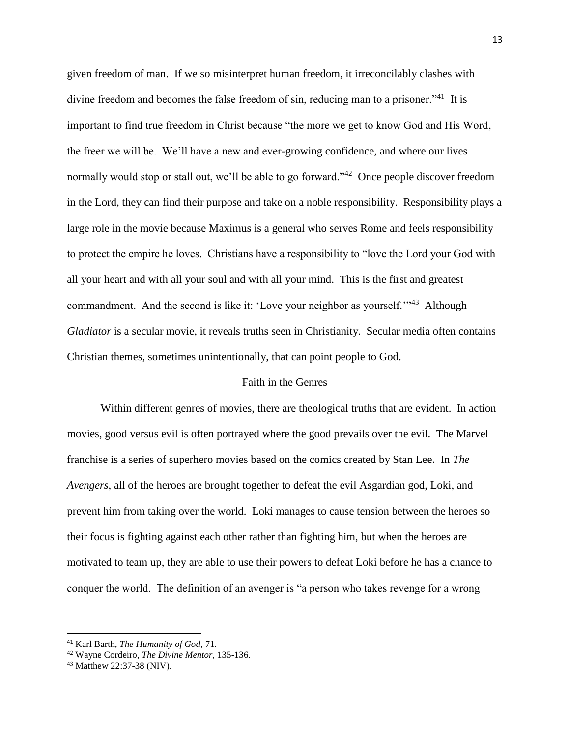given freedom of man. If we so misinterpret human freedom, it irreconcilably clashes with divine freedom and becomes the false freedom of sin, reducing man to a prisoner."<sup>41</sup> It is important to find true freedom in Christ because "the more we get to know God and His Word, the freer we will be. We'll have a new and ever-growing confidence, and where our lives normally would stop or stall out, we'll be able to go forward."<sup>42</sup> Once people discover freedom in the Lord, they can find their purpose and take on a noble responsibility. Responsibility plays a large role in the movie because Maximus is a general who serves Rome and feels responsibility to protect the empire he loves. Christians have a responsibility to "love the Lord your God with all your heart and with all your soul and with all your mind. This is the first and greatest commandment. And the second is like it: 'Love your neighbor as yourself.'"<sup>43</sup> Although *Gladiator* is a secular movie, it reveals truths seen in Christianity. Secular media often contains Christian themes, sometimes unintentionally, that can point people to God.

#### Faith in the Genres

Within different genres of movies, there are theological truths that are evident. In action movies, good versus evil is often portrayed where the good prevails over the evil. The Marvel franchise is a series of superhero movies based on the comics created by Stan Lee. In *The Avengers*, all of the heroes are brought together to defeat the evil Asgardian god, Loki, and prevent him from taking over the world. Loki manages to cause tension between the heroes so their focus is fighting against each other rather than fighting him, but when the heroes are motivated to team up, they are able to use their powers to defeat Loki before he has a chance to conquer the world. The definition of an avenger is "a person who takes revenge for a wrong

<sup>41</sup> Karl Barth, *The Humanity of God*, 71.

<sup>42</sup> Wayne Cordeiro, *The Divine Mentor*, 135-136.

<sup>43</sup> Matthew 22:37-38 (NIV).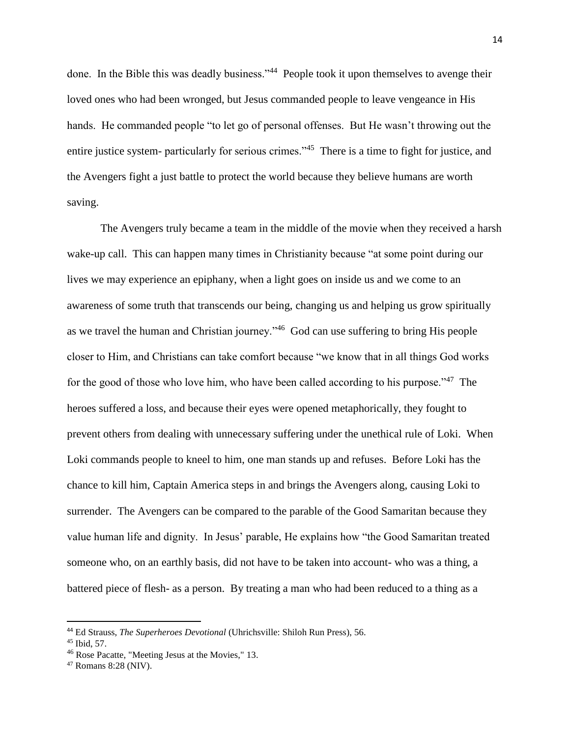done. In the Bible this was deadly business."<sup>44</sup> People took it upon themselves to avenge their loved ones who had been wronged, but Jesus commanded people to leave vengeance in His hands. He commanded people "to let go of personal offenses. But He wasn't throwing out the entire justice system- particularly for serious crimes."<sup>45</sup> There is a time to fight for justice, and the Avengers fight a just battle to protect the world because they believe humans are worth saving.

The Avengers truly became a team in the middle of the movie when they received a harsh wake-up call. This can happen many times in Christianity because "at some point during our lives we may experience an epiphany, when a light goes on inside us and we come to an awareness of some truth that transcends our being, changing us and helping us grow spiritually as we travel the human and Christian journey."<sup>46</sup> God can use suffering to bring His people closer to Him, and Christians can take comfort because "we know that in all things God works for the good of those who love him, who have been called according to his purpose."<sup>47</sup> The heroes suffered a loss, and because their eyes were opened metaphorically, they fought to prevent others from dealing with unnecessary suffering under the unethical rule of Loki. When Loki commands people to kneel to him, one man stands up and refuses. Before Loki has the chance to kill him, Captain America steps in and brings the Avengers along, causing Loki to surrender. The Avengers can be compared to the parable of the Good Samaritan because they value human life and dignity. In Jesus' parable, He explains how "the Good Samaritan treated someone who, on an earthly basis, did not have to be taken into account- who was a thing, a battered piece of flesh- as a person. By treating a man who had been reduced to a thing as a

<sup>44</sup> Ed Strauss, *The Superheroes Devotional* (Uhrichsville: Shiloh Run Press), 56.

<sup>45</sup> Ibid, 57.

<sup>46</sup> Rose Pacatte, "Meeting Jesus at the Movies," 13.

<sup>47</sup> Romans 8:28 (NIV).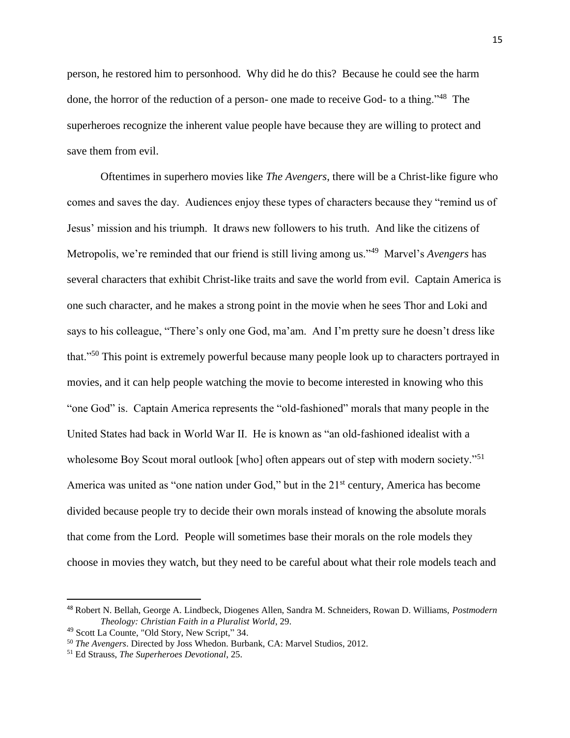person, he restored him to personhood. Why did he do this? Because he could see the harm done, the horror of the reduction of a person- one made to receive God- to a thing."<sup>48</sup> The superheroes recognize the inherent value people have because they are willing to protect and save them from evil.

Oftentimes in superhero movies like *The Avengers*, there will be a Christ-like figure who comes and saves the day. Audiences enjoy these types of characters because they "remind us of Jesus' mission and his triumph. It draws new followers to his truth. And like the citizens of Metropolis, we're reminded that our friend is still living among us."<sup>49</sup> Marvel's *Avengers* has several characters that exhibit Christ-like traits and save the world from evil. Captain America is one such character, and he makes a strong point in the movie when he sees Thor and Loki and says to his colleague, "There's only one God, ma'am. And I'm pretty sure he doesn't dress like that."<sup>50</sup> This point is extremely powerful because many people look up to characters portrayed in movies, and it can help people watching the movie to become interested in knowing who this "one God" is. Captain America represents the "old-fashioned" morals that many people in the United States had back in World War II. He is known as "an old-fashioned idealist with a wholesome Boy Scout moral outlook [who] often appears out of step with modern society."<sup>51</sup> America was united as "one nation under God," but in the  $21<sup>st</sup>$  century, America has become divided because people try to decide their own morals instead of knowing the absolute morals that come from the Lord. People will sometimes base their morals on the role models they choose in movies they watch, but they need to be careful about what their role models teach and

<sup>48</sup> Robert N. Bellah, George A. Lindbeck, Diogenes Allen, Sandra M. Schneiders, Rowan D. Williams, *Postmodern Theology: Christian Faith in a Pluralist World*, 29.

<sup>49</sup> Scott La Counte, "Old Story, New Script," 34.

<sup>50</sup> *The Avengers*. Directed by Joss Whedon. Burbank, CA: Marvel Studios, 2012.

<sup>51</sup> Ed Strauss, *The Superheroes Devotional*, 25.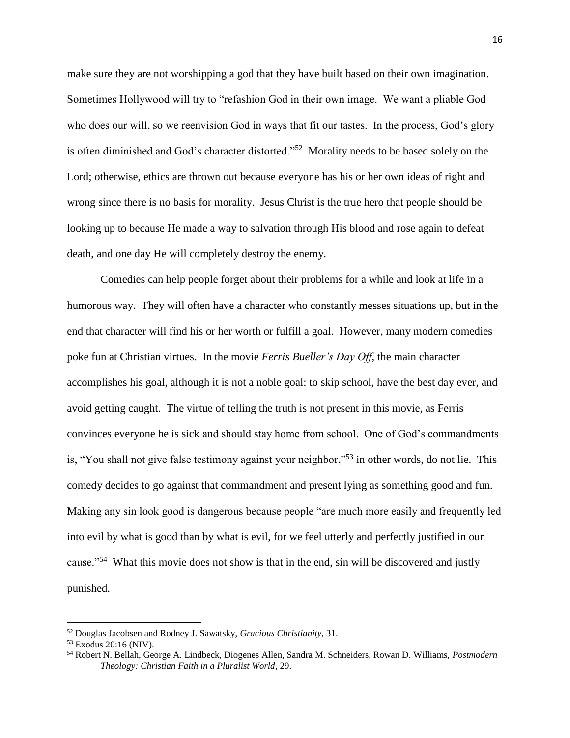make sure they are not worshipping a god that they have built based on their own imagination. Sometimes Hollywood will try to "refashion God in their own image. We want a pliable God who does our will, so we reenvision God in ways that fit our tastes. In the process, God's glory is often diminished and God's character distorted."<sup>52</sup> Morality needs to be based solely on the Lord; otherwise, ethics are thrown out because everyone has his or her own ideas of right and wrong since there is no basis for morality. Jesus Christ is the true hero that people should be looking up to because He made a way to salvation through His blood and rose again to defeat death, and one day He will completely destroy the enemy.

Comedies can help people forget about their problems for a while and look at life in a humorous way. They will often have a character who constantly messes situations up, but in the end that character will find his or her worth or fulfill a goal. However, many modern comedies poke fun at Christian virtues. In the movie *Ferris Bueller's Day Off*, the main character accomplishes his goal, although it is not a noble goal: to skip school, have the best day ever, and avoid getting caught. The virtue of telling the truth is not present in this movie, as Ferris convinces everyone he is sick and should stay home from school. One of God's commandments is, "You shall not give false testimony against your neighbor,"<sup>53</sup> in other words, do not lie. This comedy decides to go against that commandment and present lying as something good and fun. Making any sin look good is dangerous because people "are much more easily and frequently led into evil by what is good than by what is evil, for we feel utterly and perfectly justified in our cause."<sup>54</sup> What this movie does not show is that in the end, sin will be discovered and justly punished.

 $\overline{a}$ 

<sup>52</sup> Douglas Jacobsen and Rodney J. Sawatsky, *Gracious Christianity*, 31.

<sup>53</sup> Exodus 20:16 (NIV).

<sup>54</sup> Robert N. Bellah, George A. Lindbeck, Diogenes Allen, Sandra M. Schneiders, Rowan D. Williams, *Postmodern Theology: Christian Faith in a Pluralist World*, 29.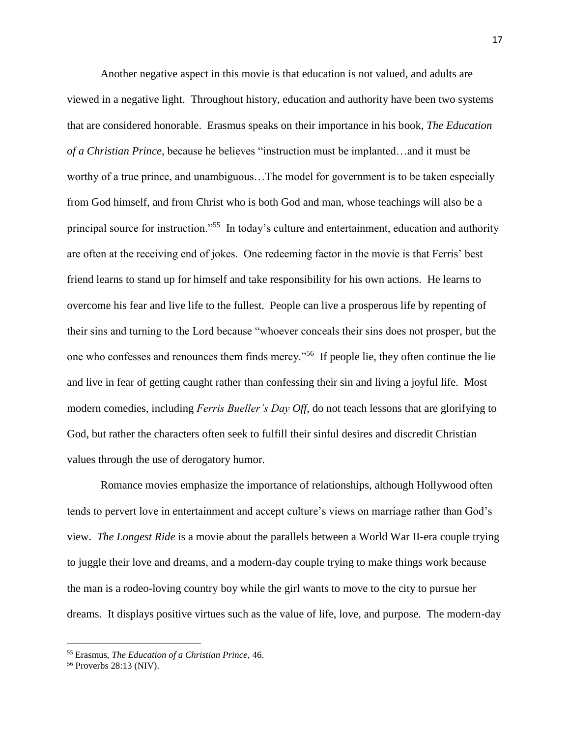Another negative aspect in this movie is that education is not valued, and adults are viewed in a negative light. Throughout history, education and authority have been two systems that are considered honorable. Erasmus speaks on their importance in his book, *The Education of a Christian Prince*, because he believes "instruction must be implanted…and it must be worthy of a true prince, and unambiguous…The model for government is to be taken especially from God himself, and from Christ who is both God and man, whose teachings will also be a principal source for instruction."<sup>55</sup> In today's culture and entertainment, education and authority are often at the receiving end of jokes. One redeeming factor in the movie is that Ferris' best friend learns to stand up for himself and take responsibility for his own actions. He learns to overcome his fear and live life to the fullest. People can live a prosperous life by repenting of their sins and turning to the Lord because "whoever conceals their sins does not prosper, but the one who confesses and renounces them finds mercy."<sup>56</sup> If people lie, they often continue the lie and live in fear of getting caught rather than confessing their sin and living a joyful life. Most modern comedies, including *Ferris Bueller's Day Off*, do not teach lessons that are glorifying to God, but rather the characters often seek to fulfill their sinful desires and discredit Christian values through the use of derogatory humor.

Romance movies emphasize the importance of relationships, although Hollywood often tends to pervert love in entertainment and accept culture's views on marriage rather than God's view. *The Longest Ride* is a movie about the parallels between a World War II-era couple trying to juggle their love and dreams, and a modern-day couple trying to make things work because the man is a rodeo-loving country boy while the girl wants to move to the city to pursue her dreams. It displays positive virtues such as the value of life, love, and purpose. The modern-day

<sup>55</sup> Erasmus, *The Education of a Christian Prince*, 46.

<sup>56</sup> Proverbs 28:13 (NIV).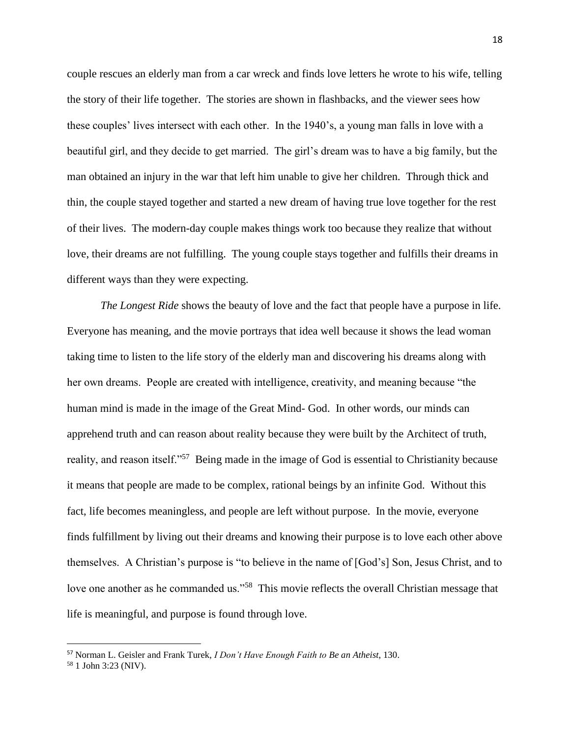couple rescues an elderly man from a car wreck and finds love letters he wrote to his wife, telling the story of their life together. The stories are shown in flashbacks, and the viewer sees how these couples' lives intersect with each other. In the 1940's, a young man falls in love with a beautiful girl, and they decide to get married. The girl's dream was to have a big family, but the man obtained an injury in the war that left him unable to give her children. Through thick and thin, the couple stayed together and started a new dream of having true love together for the rest of their lives. The modern-day couple makes things work too because they realize that without love, their dreams are not fulfilling. The young couple stays together and fulfills their dreams in different ways than they were expecting.

*The Longest Ride* shows the beauty of love and the fact that people have a purpose in life. Everyone has meaning, and the movie portrays that idea well because it shows the lead woman taking time to listen to the life story of the elderly man and discovering his dreams along with her own dreams. People are created with intelligence, creativity, and meaning because "the human mind is made in the image of the Great Mind- God. In other words, our minds can apprehend truth and can reason about reality because they were built by the Architect of truth, reality, and reason itself."<sup>57</sup> Being made in the image of God is essential to Christianity because it means that people are made to be complex, rational beings by an infinite God. Without this fact, life becomes meaningless, and people are left without purpose. In the movie, everyone finds fulfillment by living out their dreams and knowing their purpose is to love each other above themselves. A Christian's purpose is "to believe in the name of [God's] Son, Jesus Christ, and to love one another as he commanded us."<sup>58</sup> This movie reflects the overall Christian message that life is meaningful, and purpose is found through love.

<sup>57</sup> Norman L. Geisler and Frank Turek, *I Don't Have Enough Faith to Be an Atheist*, 130.

<sup>58</sup> 1 John 3:23 (NIV).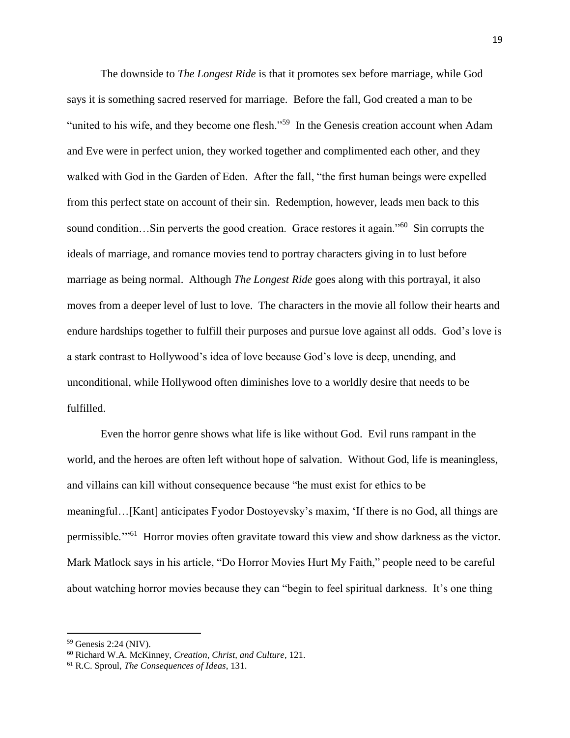The downside to *The Longest Ride* is that it promotes sex before marriage, while God says it is something sacred reserved for marriage. Before the fall, God created a man to be "united to his wife, and they become one flesh."<sup>59</sup> In the Genesis creation account when Adam and Eve were in perfect union, they worked together and complimented each other, and they walked with God in the Garden of Eden. After the fall, "the first human beings were expelled from this perfect state on account of their sin. Redemption, however, leads men back to this sound condition...Sin perverts the good creation. Grace restores it again."<sup>60</sup> Sin corrupts the ideals of marriage, and romance movies tend to portray characters giving in to lust before marriage as being normal. Although *The Longest Ride* goes along with this portrayal, it also moves from a deeper level of lust to love. The characters in the movie all follow their hearts and endure hardships together to fulfill their purposes and pursue love against all odds. God's love is a stark contrast to Hollywood's idea of love because God's love is deep, unending, and unconditional, while Hollywood often diminishes love to a worldly desire that needs to be fulfilled.

Even the horror genre shows what life is like without God. Evil runs rampant in the world, and the heroes are often left without hope of salvation. Without God, life is meaningless, and villains can kill without consequence because "he must exist for ethics to be meaningful…[Kant] anticipates Fyodor Dostoyevsky's maxim, 'If there is no God, all things are permissible.<sup>'"61</sup> Horror movies often gravitate toward this view and show darkness as the victor. Mark Matlock says in his article, "Do Horror Movies Hurt My Faith," people need to be careful about watching horror movies because they can "begin to feel spiritual darkness. It's one thing

<sup>59</sup> Genesis 2:24 (NIV).

<sup>60</sup> Richard W.A. McKinney, *Creation, Christ, and Culture*, 121.

<sup>61</sup> R.C. Sproul, *The Consequences of Ideas*, 131.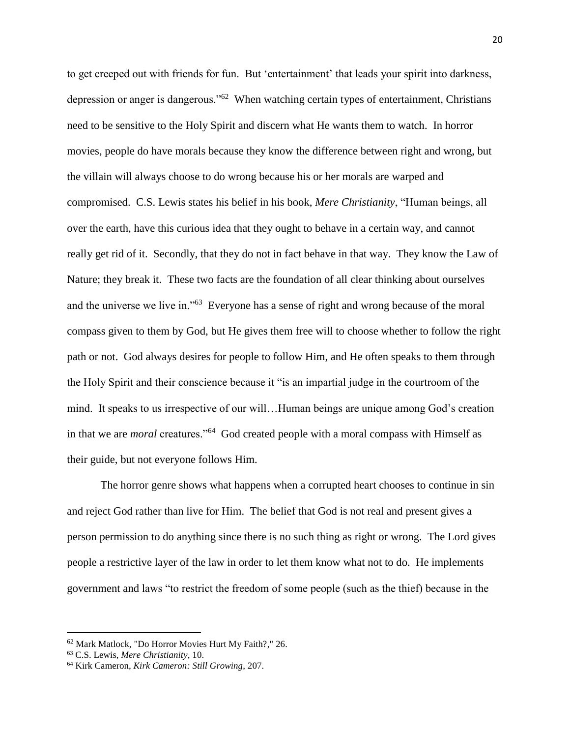to get creeped out with friends for fun. But 'entertainment' that leads your spirit into darkness, depression or anger is dangerous."<sup>62</sup> When watching certain types of entertainment, Christians need to be sensitive to the Holy Spirit and discern what He wants them to watch. In horror movies, people do have morals because they know the difference between right and wrong, but the villain will always choose to do wrong because his or her morals are warped and compromised. C.S. Lewis states his belief in his book, *Mere Christianity*, "Human beings, all over the earth, have this curious idea that they ought to behave in a certain way, and cannot really get rid of it. Secondly, that they do not in fact behave in that way. They know the Law of Nature; they break it. These two facts are the foundation of all clear thinking about ourselves and the universe we live in."<sup>63</sup> Everyone has a sense of right and wrong because of the moral compass given to them by God, but He gives them free will to choose whether to follow the right path or not. God always desires for people to follow Him, and He often speaks to them through the Holy Spirit and their conscience because it "is an impartial judge in the courtroom of the mind. It speaks to us irrespective of our will…Human beings are unique among God's creation in that we are *moral* creatures."<sup>64</sup> God created people with a moral compass with Himself as their guide, but not everyone follows Him.

The horror genre shows what happens when a corrupted heart chooses to continue in sin and reject God rather than live for Him. The belief that God is not real and present gives a person permission to do anything since there is no such thing as right or wrong. The Lord gives people a restrictive layer of the law in order to let them know what not to do. He implements government and laws "to restrict the freedom of some people (such as the thief) because in the

<sup>62</sup> Mark Matlock, "Do Horror Movies Hurt My Faith?," 26.

<sup>63</sup> C.S. Lewis, *Mere Christianity*, 10.

<sup>64</sup> Kirk Cameron, *Kirk Cameron: Still Growing*, 207.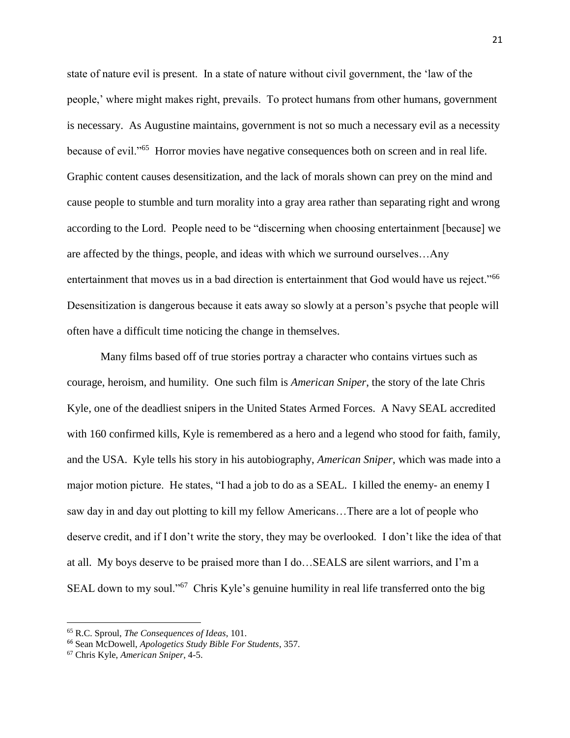state of nature evil is present. In a state of nature without civil government, the 'law of the people,' where might makes right, prevails. To protect humans from other humans, government is necessary. As Augustine maintains, government is not so much a necessary evil as a necessity because of evil."<sup>65</sup> Horror movies have negative consequences both on screen and in real life. Graphic content causes desensitization, and the lack of morals shown can prey on the mind and cause people to stumble and turn morality into a gray area rather than separating right and wrong according to the Lord. People need to be "discerning when choosing entertainment [because] we are affected by the things, people, and ideas with which we surround ourselves…Any entertainment that moves us in a bad direction is entertainment that God would have us reject."<sup>66</sup> Desensitization is dangerous because it eats away so slowly at a person's psyche that people will often have a difficult time noticing the change in themselves.

Many films based off of true stories portray a character who contains virtues such as courage, heroism, and humility. One such film is *American Sniper*, the story of the late Chris Kyle, one of the deadliest snipers in the United States Armed Forces. A Navy SEAL accredited with 160 confirmed kills, Kyle is remembered as a hero and a legend who stood for faith, family, and the USA. Kyle tells his story in his autobiography, *American Sniper*, which was made into a major motion picture. He states, "I had a job to do as a SEAL. I killed the enemy- an enemy I saw day in and day out plotting to kill my fellow Americans…There are a lot of people who deserve credit, and if I don't write the story, they may be overlooked. I don't like the idea of that at all. My boys deserve to be praised more than I do…SEALS are silent warriors, and I'm a SEAL down to my soul."<sup>67</sup> Chris Kyle's genuine humility in real life transferred onto the big

 $\overline{a}$ 

<sup>65</sup> R.C. Sproul, *The Consequences of Ideas*, 101.

<sup>66</sup> Sean McDowell, *Apologetics Study Bible For Students*, 357.

<sup>67</sup> Chris Kyle, *American Sniper*, 4-5.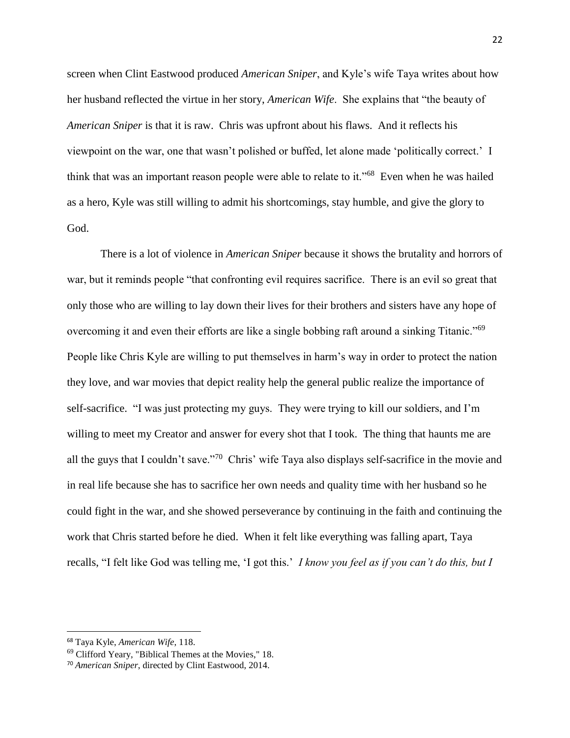screen when Clint Eastwood produced *American Sniper*, and Kyle's wife Taya writes about how her husband reflected the virtue in her story, *American Wife*. She explains that "the beauty of *American Sniper* is that it is raw. Chris was upfront about his flaws. And it reflects his viewpoint on the war, one that wasn't polished or buffed, let alone made 'politically correct.' I think that was an important reason people were able to relate to it."<sup>68</sup> Even when he was hailed as a hero, Kyle was still willing to admit his shortcomings, stay humble, and give the glory to God.

There is a lot of violence in *American Sniper* because it shows the brutality and horrors of war, but it reminds people "that confronting evil requires sacrifice. There is an evil so great that only those who are willing to lay down their lives for their brothers and sisters have any hope of overcoming it and even their efforts are like a single bobbing raft around a sinking Titanic."<sup>69</sup> People like Chris Kyle are willing to put themselves in harm's way in order to protect the nation they love, and war movies that depict reality help the general public realize the importance of self-sacrifice. "I was just protecting my guys. They were trying to kill our soldiers, and I'm willing to meet my Creator and answer for every shot that I took. The thing that haunts me are all the guys that I couldn't save."<sup>70</sup> Chris' wife Taya also displays self-sacrifice in the movie and in real life because she has to sacrifice her own needs and quality time with her husband so he could fight in the war, and she showed perseverance by continuing in the faith and continuing the work that Chris started before he died. When it felt like everything was falling apart, Taya recalls, "I felt like God was telling me, 'I got this.' *I know you feel as if you can't do this, but I* 

<sup>68</sup> Taya Kyle, *American Wife*, 118.

<sup>69</sup> Clifford Yeary, "Biblical Themes at the Movies," 18.

<sup>70</sup> *American Sniper*, directed by Clint Eastwood, 2014.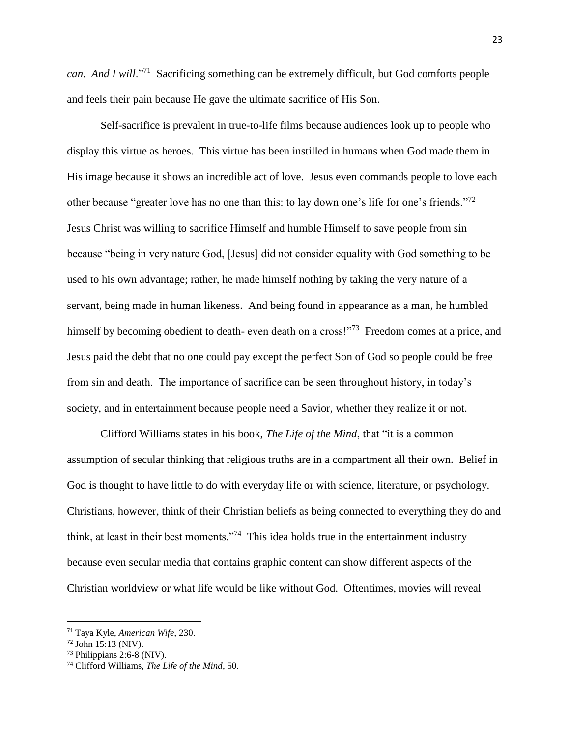*can. And I will*."<sup>71</sup> Sacrificing something can be extremely difficult, but God comforts people and feels their pain because He gave the ultimate sacrifice of His Son.

Self-sacrifice is prevalent in true-to-life films because audiences look up to people who display this virtue as heroes. This virtue has been instilled in humans when God made them in His image because it shows an incredible act of love. Jesus even commands people to love each other because "greater love has no one than this: to lay down one's life for one's friends."<sup>72</sup> Jesus Christ was willing to sacrifice Himself and humble Himself to save people from sin because "being in very nature God, [Jesus] did not consider equality with God something to be used to his own advantage; rather, he made himself nothing by taking the very nature of a servant, being made in human likeness. And being found in appearance as a man, he humbled himself by becoming obedient to death- even death on a cross!"<sup>73</sup> Freedom comes at a price, and Jesus paid the debt that no one could pay except the perfect Son of God so people could be free from sin and death. The importance of sacrifice can be seen throughout history, in today's society, and in entertainment because people need a Savior, whether they realize it or not.

Clifford Williams states in his book, *The Life of the Mind*, that "it is a common assumption of secular thinking that religious truths are in a compartment all their own. Belief in God is thought to have little to do with everyday life or with science, literature, or psychology. Christians, however, think of their Christian beliefs as being connected to everything they do and think, at least in their best moments."<sup>74</sup> This idea holds true in the entertainment industry because even secular media that contains graphic content can show different aspects of the Christian worldview or what life would be like without God. Oftentimes, movies will reveal

 $\overline{a}$ 

<sup>71</sup> Taya Kyle, *American Wife*, 230.

<sup>72</sup> John 15:13 (NIV).

 $73$  Philippians 2:6-8 (NIV).

<sup>74</sup> Clifford Williams, *The Life of the Mind*, 50.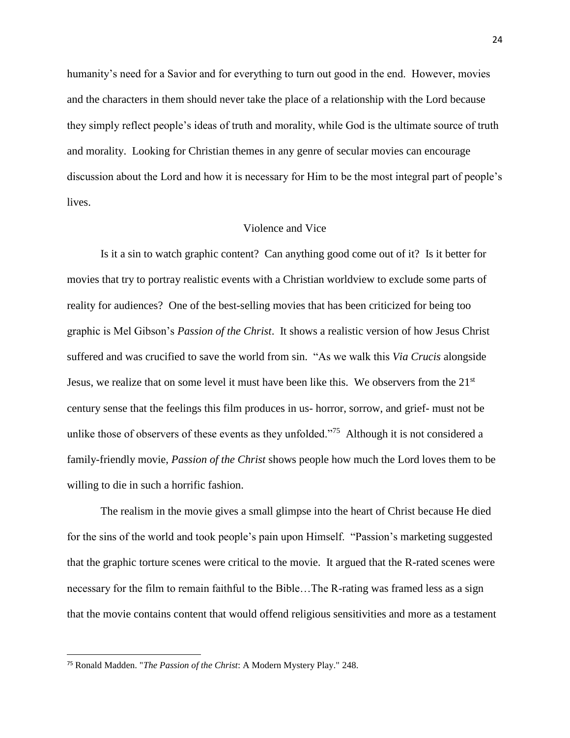humanity's need for a Savior and for everything to turn out good in the end. However, movies and the characters in them should never take the place of a relationship with the Lord because they simply reflect people's ideas of truth and morality, while God is the ultimate source of truth and morality. Looking for Christian themes in any genre of secular movies can encourage discussion about the Lord and how it is necessary for Him to be the most integral part of people's lives.

#### Violence and Vice

Is it a sin to watch graphic content? Can anything good come out of it? Is it better for movies that try to portray realistic events with a Christian worldview to exclude some parts of reality for audiences? One of the best-selling movies that has been criticized for being too graphic is Mel Gibson's *Passion of the Christ*. It shows a realistic version of how Jesus Christ suffered and was crucified to save the world from sin. "As we walk this *Via Crucis* alongside Jesus, we realize that on some level it must have been like this. We observers from the 21<sup>st</sup> century sense that the feelings this film produces in us- horror, sorrow, and grief- must not be unlike those of observers of these events as they unfolded."<sup>75</sup> Although it is not considered a family-friendly movie, *Passion of the Christ* shows people how much the Lord loves them to be willing to die in such a horrific fashion.

The realism in the movie gives a small glimpse into the heart of Christ because He died for the sins of the world and took people's pain upon Himself. "Passion's marketing suggested that the graphic torture scenes were critical to the movie. It argued that the R-rated scenes were necessary for the film to remain faithful to the Bible…The R-rating was framed less as a sign that the movie contains content that would offend religious sensitivities and more as a testament

<sup>75</sup> Ronald Madden. "*The Passion of the Christ*: A Modern Mystery Play." 248.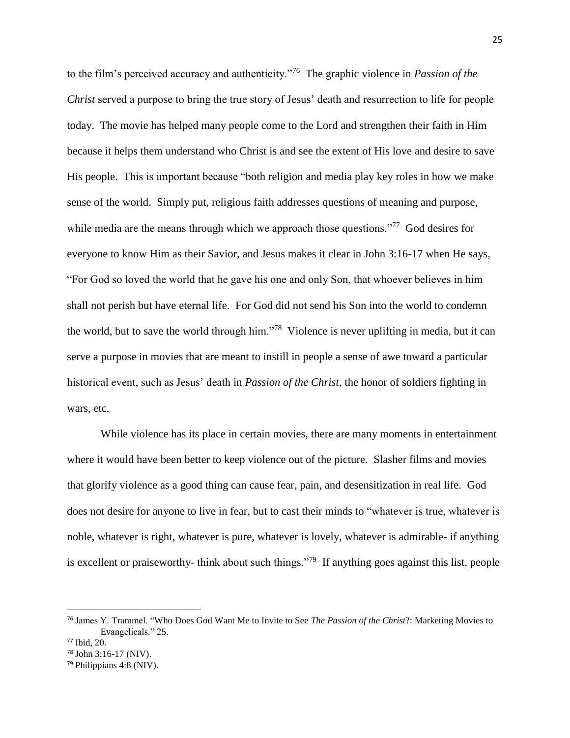to the film's perceived accuracy and authenticity."<sup>76</sup> The graphic violence in *Passion of the Christ* served a purpose to bring the true story of Jesus' death and resurrection to life for people today. The movie has helped many people come to the Lord and strengthen their faith in Him because it helps them understand who Christ is and see the extent of His love and desire to save His people. This is important because "both religion and media play key roles in how we make sense of the world. Simply put, religious faith addresses questions of meaning and purpose, while media are the means through which we approach those questions."<sup>77</sup> God desires for everyone to know Him as their Savior, and Jesus makes it clear in John 3:16-17 when He says, "For God so loved the world that he gave his one and only Son, that whoever believes in him shall not perish but have eternal life. For God did not send his Son into the world to condemn the world, but to save the world through him."<sup>78</sup> Violence is never uplifting in media, but it can serve a purpose in movies that are meant to instill in people a sense of awe toward a particular historical event, such as Jesus' death in *Passion of the Christ*, the honor of soldiers fighting in wars, etc.

While violence has its place in certain movies, there are many moments in entertainment where it would have been better to keep violence out of the picture. Slasher films and movies that glorify violence as a good thing can cause fear, pain, and desensitization in real life. God does not desire for anyone to live in fear, but to cast their minds to "whatever is true, whatever is noble, whatever is right, whatever is pure, whatever is lovely, whatever is admirable- if anything is excellent or praiseworthy- think about such things."<sup>79</sup> If anything goes against this list, people

<sup>76</sup> James Y. Trammel. "Who Does God Want Me to Invite to See *The Passion of the Christ*?: Marketing Movies to Evangelicals." 25.

<sup>77</sup> Ibid, 20.

<sup>78</sup> John 3:16-17 (NIV).

<sup>79</sup> Philippians 4:8 (NIV).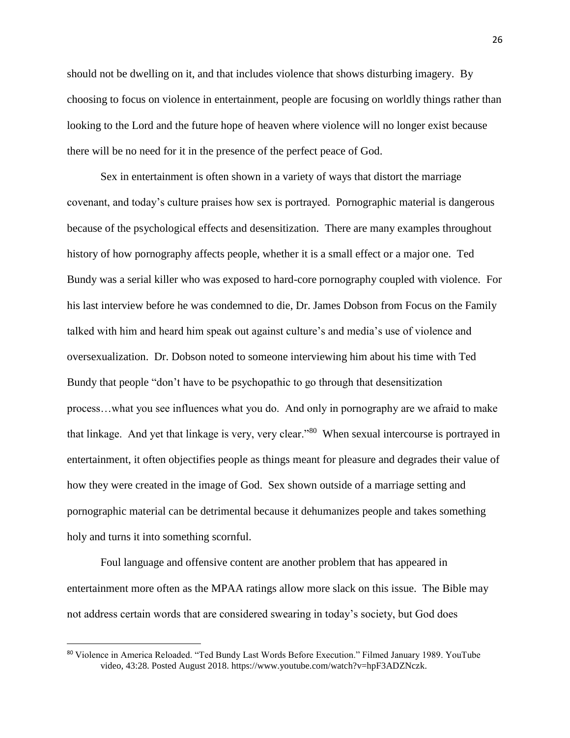should not be dwelling on it, and that includes violence that shows disturbing imagery. By choosing to focus on violence in entertainment, people are focusing on worldly things rather than looking to the Lord and the future hope of heaven where violence will no longer exist because there will be no need for it in the presence of the perfect peace of God.

Sex in entertainment is often shown in a variety of ways that distort the marriage covenant, and today's culture praises how sex is portrayed. Pornographic material is dangerous because of the psychological effects and desensitization. There are many examples throughout history of how pornography affects people, whether it is a small effect or a major one. Ted Bundy was a serial killer who was exposed to hard-core pornography coupled with violence. For his last interview before he was condemned to die, Dr. James Dobson from Focus on the Family talked with him and heard him speak out against culture's and media's use of violence and oversexualization. Dr. Dobson noted to someone interviewing him about his time with Ted Bundy that people "don't have to be psychopathic to go through that desensitization process…what you see influences what you do. And only in pornography are we afraid to make that linkage. And yet that linkage is very, very clear."<sup>80</sup> When sexual intercourse is portrayed in entertainment, it often objectifies people as things meant for pleasure and degrades their value of how they were created in the image of God. Sex shown outside of a marriage setting and pornographic material can be detrimental because it dehumanizes people and takes something holy and turns it into something scornful.

Foul language and offensive content are another problem that has appeared in entertainment more often as the MPAA ratings allow more slack on this issue. The Bible may not address certain words that are considered swearing in today's society, but God does

<sup>80</sup> Violence in America Reloaded. "Ted Bundy Last Words Before Execution." Filmed January 1989. YouTube video, 43:28. Posted August 2018. https://www.youtube.com/watch?v=hpF3ADZNczk.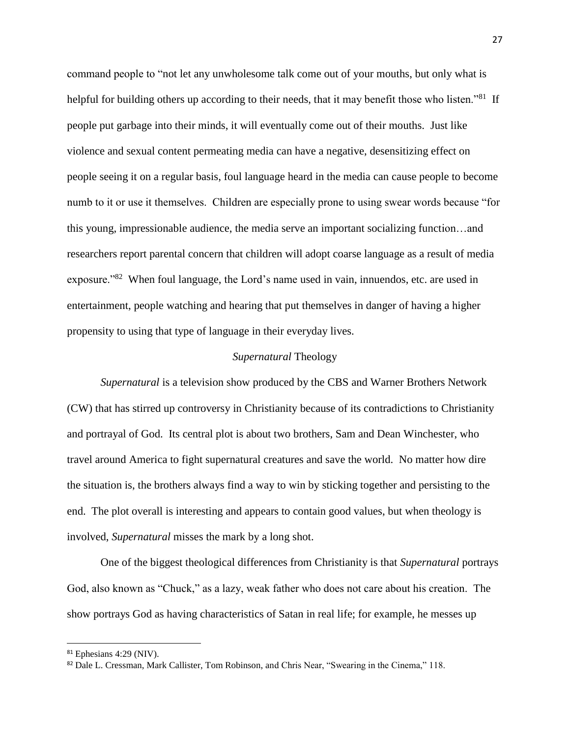command people to "not let any unwholesome talk come out of your mouths, but only what is helpful for building others up according to their needs, that it may benefit those who listen."<sup>81</sup> If people put garbage into their minds, it will eventually come out of their mouths. Just like violence and sexual content permeating media can have a negative, desensitizing effect on people seeing it on a regular basis, foul language heard in the media can cause people to become numb to it or use it themselves. Children are especially prone to using swear words because "for this young, impressionable audience, the media serve an important socializing function…and researchers report parental concern that children will adopt coarse language as a result of media exposure."<sup>82</sup> When foul language, the Lord's name used in vain, innuendos, etc. are used in entertainment, people watching and hearing that put themselves in danger of having a higher propensity to using that type of language in their everyday lives.

#### *Supernatural* Theology

*Supernatural* is a television show produced by the CBS and Warner Brothers Network (CW) that has stirred up controversy in Christianity because of its contradictions to Christianity and portrayal of God. Its central plot is about two brothers, Sam and Dean Winchester, who travel around America to fight supernatural creatures and save the world. No matter how dire the situation is, the brothers always find a way to win by sticking together and persisting to the end. The plot overall is interesting and appears to contain good values, but when theology is involved, *Supernatural* misses the mark by a long shot.

One of the biggest theological differences from Christianity is that *Supernatural* portrays God, also known as "Chuck," as a lazy, weak father who does not care about his creation. The show portrays God as having characteristics of Satan in real life; for example, he messes up

<sup>81</sup> Ephesians 4:29 (NIV).

<sup>82</sup> Dale L. Cressman, Mark Callister, Tom Robinson, and Chris Near, "Swearing in the Cinema," 118.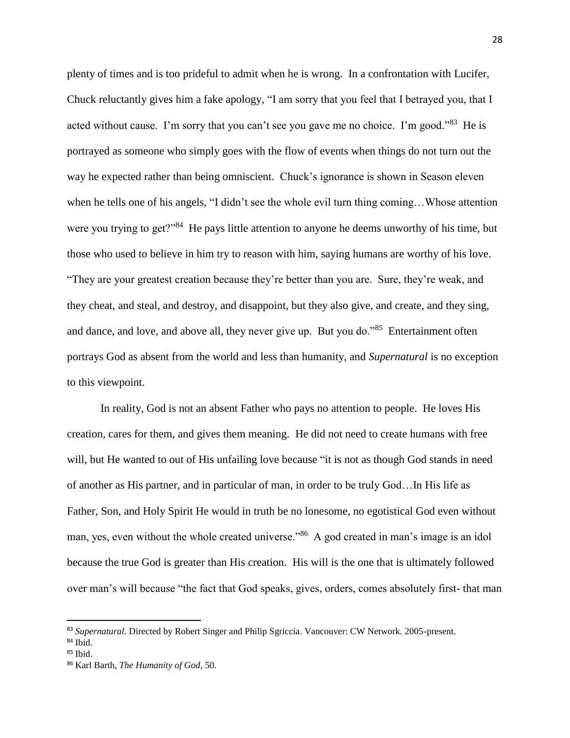plenty of times and is too prideful to admit when he is wrong. In a confrontation with Lucifer, Chuck reluctantly gives him a fake apology, "I am sorry that you feel that I betrayed you, that I acted without cause. I'm sorry that you can't see you gave me no choice. I'm good."<sup>83</sup> He is portrayed as someone who simply goes with the flow of events when things do not turn out the way he expected rather than being omniscient. Chuck's ignorance is shown in Season eleven when he tells one of his angels, "I didn't see the whole evil turn thing coming…Whose attention were you trying to get?"<sup>84</sup> He pays little attention to anyone he deems unworthy of his time, but those who used to believe in him try to reason with him, saying humans are worthy of his love. "They are your greatest creation because they're better than you are. Sure, they're weak, and they cheat, and steal, and destroy, and disappoint, but they also give, and create, and they sing, and dance, and love, and above all, they never give up. But you do."<sup>85</sup> Entertainment often portrays God as absent from the world and less than humanity, and *Supernatural* is no exception to this viewpoint.

In reality, God is not an absent Father who pays no attention to people. He loves His creation, cares for them, and gives them meaning. He did not need to create humans with free will, but He wanted to out of His unfailing love because "it is not as though God stands in need of another as His partner, and in particular of man, in order to be truly God…In His life as Father, Son, and Holy Spirit He would in truth be no lonesome, no egotistical God even without man, yes, even without the whole created universe."<sup>86</sup> A god created in man's image is an idol because the true God is greater than His creation. His will is the one that is ultimately followed over man's will because "the fact that God speaks, gives, orders, comes absolutely first- that man

<sup>83</sup> *Supernatural*. Directed by Robert Singer and Philip Sgriccia. Vancouver: CW Network. 2005-present.

<sup>84</sup> Ibid.

 $85$  Ibid.

<sup>86</sup> Karl Barth, *The Humanity of God*, 50.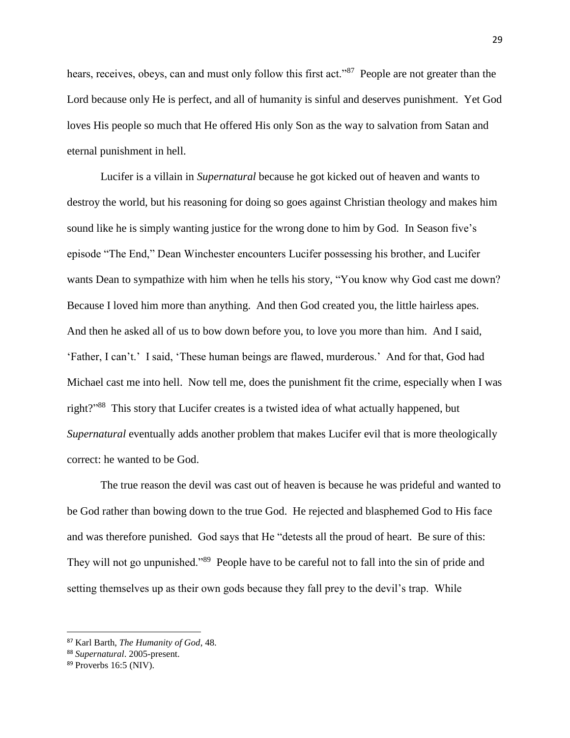hears, receives, obeys, can and must only follow this first act."<sup>87</sup> People are not greater than the Lord because only He is perfect, and all of humanity is sinful and deserves punishment. Yet God loves His people so much that He offered His only Son as the way to salvation from Satan and eternal punishment in hell.

Lucifer is a villain in *Supernatural* because he got kicked out of heaven and wants to destroy the world, but his reasoning for doing so goes against Christian theology and makes him sound like he is simply wanting justice for the wrong done to him by God. In Season five's episode "The End," Dean Winchester encounters Lucifer possessing his brother, and Lucifer wants Dean to sympathize with him when he tells his story, "You know why God cast me down? Because I loved him more than anything. And then God created you, the little hairless apes. And then he asked all of us to bow down before you, to love you more than him. And I said, 'Father, I can't.' I said, 'These human beings are flawed, murderous.' And for that, God had Michael cast me into hell. Now tell me, does the punishment fit the crime, especially when I was right?" 88 This story that Lucifer creates is a twisted idea of what actually happened, but *Supernatural* eventually adds another problem that makes Lucifer evil that is more theologically correct: he wanted to be God.

The true reason the devil was cast out of heaven is because he was prideful and wanted to be God rather than bowing down to the true God. He rejected and blasphemed God to His face and was therefore punished. God says that He "detests all the proud of heart. Be sure of this: They will not go unpunished."<sup>89</sup> People have to be careful not to fall into the sin of pride and setting themselves up as their own gods because they fall prey to the devil's trap. While

 $\overline{a}$ 

<sup>87</sup> Karl Barth, *The Humanity of God*, 48.

<sup>88</sup> *Supernatural*. 2005-present.

<sup>&</sup>lt;sup>89</sup> Proverbs 16:5 (NIV).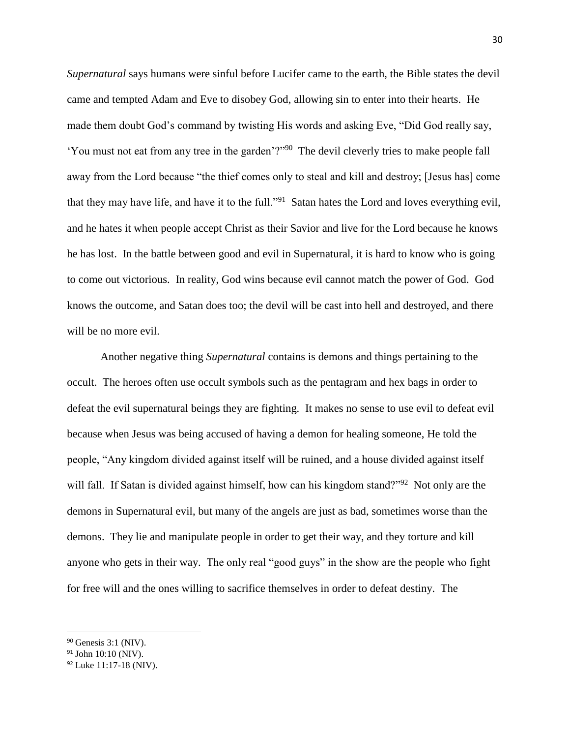*Supernatural* says humans were sinful before Lucifer came to the earth, the Bible states the devil came and tempted Adam and Eve to disobey God, allowing sin to enter into their hearts. He made them doubt God's command by twisting His words and asking Eve, "Did God really say, 'You must not eat from any tree in the garden'?"<sup>90</sup> The devil cleverly tries to make people fall away from the Lord because "the thief comes only to steal and kill and destroy; [Jesus has] come that they may have life, and have it to the full."<sup>91</sup> Satan hates the Lord and loves everything evil, and he hates it when people accept Christ as their Savior and live for the Lord because he knows he has lost. In the battle between good and evil in Supernatural, it is hard to know who is going to come out victorious. In reality, God wins because evil cannot match the power of God. God knows the outcome, and Satan does too; the devil will be cast into hell and destroyed, and there will be no more evil.

Another negative thing *Supernatural* contains is demons and things pertaining to the occult. The heroes often use occult symbols such as the pentagram and hex bags in order to defeat the evil supernatural beings they are fighting. It makes no sense to use evil to defeat evil because when Jesus was being accused of having a demon for healing someone, He told the people, "Any kingdom divided against itself will be ruined, and a house divided against itself will fall. If Satan is divided against himself, how can his kingdom stand?"<sup>92</sup> Not only are the demons in Supernatural evil, but many of the angels are just as bad, sometimes worse than the demons. They lie and manipulate people in order to get their way, and they torture and kill anyone who gets in their way. The only real "good guys" in the show are the people who fight for free will and the ones willing to sacrifice themselves in order to defeat destiny. The

 $\overline{a}$ 

<sup>90</sup> Genesis 3:1 (NIV).

<sup>91</sup> John 10:10 (NIV).

<sup>92</sup> Luke 11:17-18 (NIV).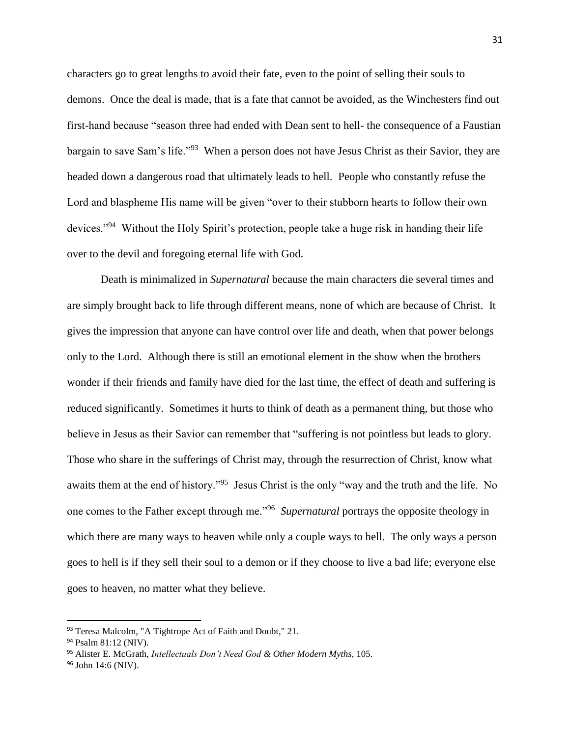characters go to great lengths to avoid their fate, even to the point of selling their souls to demons. Once the deal is made, that is a fate that cannot be avoided, as the Winchesters find out first-hand because "season three had ended with Dean sent to hell- the consequence of a Faustian bargain to save Sam's life."<sup>93</sup> When a person does not have Jesus Christ as their Savior, they are headed down a dangerous road that ultimately leads to hell. People who constantly refuse the Lord and blaspheme His name will be given "over to their stubborn hearts to follow their own devices."<sup>94</sup> Without the Holy Spirit's protection, people take a huge risk in handing their life over to the devil and foregoing eternal life with God.

Death is minimalized in *Supernatural* because the main characters die several times and are simply brought back to life through different means, none of which are because of Christ. It gives the impression that anyone can have control over life and death, when that power belongs only to the Lord. Although there is still an emotional element in the show when the brothers wonder if their friends and family have died for the last time, the effect of death and suffering is reduced significantly. Sometimes it hurts to think of death as a permanent thing, but those who believe in Jesus as their Savior can remember that "suffering is not pointless but leads to glory. Those who share in the sufferings of Christ may, through the resurrection of Christ, know what awaits them at the end of history."<sup>95</sup> Jesus Christ is the only "way and the truth and the life. No one comes to the Father except through me."<sup>96</sup> *Supernatural* portrays the opposite theology in which there are many ways to heaven while only a couple ways to hell. The only ways a person goes to hell is if they sell their soul to a demon or if they choose to live a bad life; everyone else goes to heaven, no matter what they believe.

<sup>93</sup> Teresa Malcolm, "A Tightrope Act of Faith and Doubt," 21.

<sup>94</sup> Psalm 81:12 (NIV).

<sup>95</sup> Alister E. McGrath, *Intellectuals Don't Need God & Other Modern Myths*, 105.

<sup>96</sup> John 14:6 (NIV).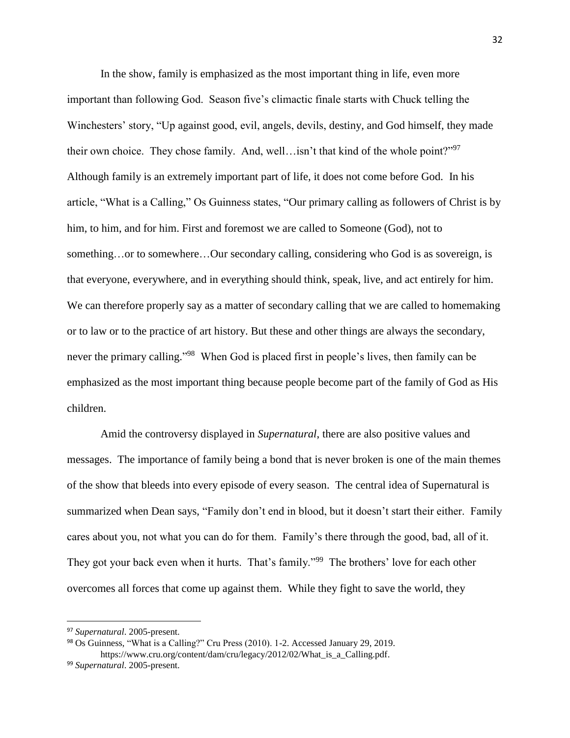In the show, family is emphasized as the most important thing in life, even more important than following God. Season five's climactic finale starts with Chuck telling the Winchesters' story, "Up against good, evil, angels, devils, destiny, and God himself, they made their own choice. They chose family. And, well... isn't that kind of the whole point?"<sup>97</sup> Although family is an extremely important part of life, it does not come before God. In his article, "What is a Calling," Os Guinness states, "Our primary calling as followers of Christ is by him, to him, and for him. First and foremost we are called to Someone (God), not to something…or to somewhere…Our secondary calling, considering who God is as sovereign, is that everyone, everywhere, and in everything should think, speak, live, and act entirely for him. We can therefore properly say as a matter of secondary calling that we are called to homemaking or to law or to the practice of art history. But these and other things are always the secondary, never the primary calling."<sup>98</sup> When God is placed first in people's lives, then family can be emphasized as the most important thing because people become part of the family of God as His children.

Amid the controversy displayed in *Supernatural*, there are also positive values and messages. The importance of family being a bond that is never broken is one of the main themes of the show that bleeds into every episode of every season. The central idea of Supernatural is summarized when Dean says, "Family don't end in blood, but it doesn't start their either. Family cares about you, not what you can do for them. Family's there through the good, bad, all of it. They got your back even when it hurts. That's family."<sup>99</sup> The brothers' love for each other overcomes all forces that come up against them. While they fight to save the world, they

<sup>97</sup> *Supernatural*. 2005-present.

<sup>98</sup> Os Guinness, "What is a Calling?" Cru Press (2010). 1-2. Accessed January 29, 2019. https://www.cru.org/content/dam/cru/legacy/2012/02/What is a Calling.pdf.

<sup>99</sup> *Supernatural*. 2005-present.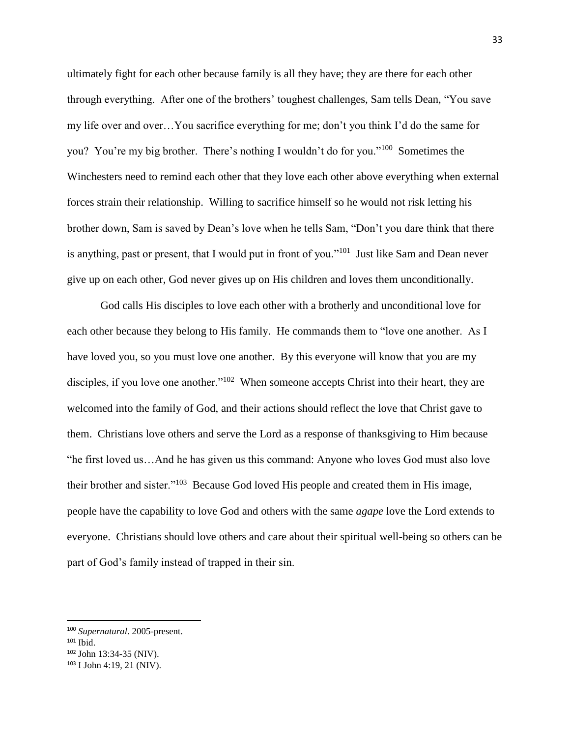ultimately fight for each other because family is all they have; they are there for each other through everything. After one of the brothers' toughest challenges, Sam tells Dean, "You save my life over and over…You sacrifice everything for me; don't you think I'd do the same for you? You're my big brother. There's nothing I wouldn't do for you."<sup>100</sup> Sometimes the Winchesters need to remind each other that they love each other above everything when external forces strain their relationship. Willing to sacrifice himself so he would not risk letting his brother down, Sam is saved by Dean's love when he tells Sam, "Don't you dare think that there is anything, past or present, that I would put in front of you."<sup>101</sup> Just like Sam and Dean never give up on each other, God never gives up on His children and loves them unconditionally.

God calls His disciples to love each other with a brotherly and unconditional love for each other because they belong to His family. He commands them to "love one another. As I have loved you, so you must love one another. By this everyone will know that you are my disciples, if you love one another."<sup>102</sup> When someone accepts Christ into their heart, they are welcomed into the family of God, and their actions should reflect the love that Christ gave to them. Christians love others and serve the Lord as a response of thanksgiving to Him because "he first loved us…And he has given us this command: Anyone who loves God must also love their brother and sister."<sup>103</sup> Because God loved His people and created them in His image, people have the capability to love God and others with the same *agape* love the Lord extends to everyone. Christians should love others and care about their spiritual well-being so others can be part of God's family instead of trapped in their sin.

<sup>100</sup> *Supernatural*. 2005-present.

 $101$  Ibid.

<sup>102</sup> John 13:34-35 (NIV).

<sup>103</sup> I John 4:19, 21 (NIV).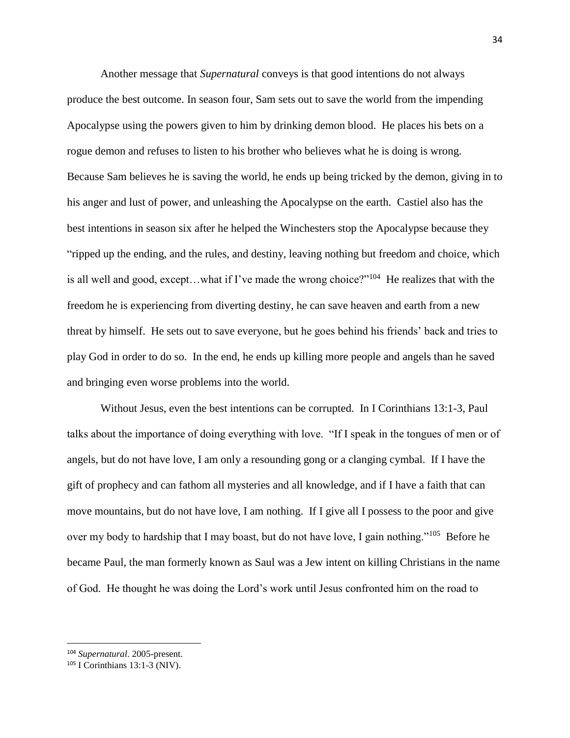Another message that *Supernatural* conveys is that good intentions do not always produce the best outcome. In season four, Sam sets out to save the world from the impending Apocalypse using the powers given to him by drinking demon blood. He places his bets on a rogue demon and refuses to listen to his brother who believes what he is doing is wrong. Because Sam believes he is saving the world, he ends up being tricked by the demon, giving in to his anger and lust of power, and unleashing the Apocalypse on the earth. Castiel also has the best intentions in season six after he helped the Winchesters stop the Apocalypse because they "ripped up the ending, and the rules, and destiny, leaving nothing but freedom and choice, which is all well and good, except...what if I've made the wrong choice?"<sup>104</sup> He realizes that with the freedom he is experiencing from diverting destiny, he can save heaven and earth from a new threat by himself. He sets out to save everyone, but he goes behind his friends' back and tries to play God in order to do so. In the end, he ends up killing more people and angels than he saved and bringing even worse problems into the world.

Without Jesus, even the best intentions can be corrupted. In I Corinthians 13:1-3, Paul talks about the importance of doing everything with love. "If I speak in the tongues of men or of angels, but do not have love, I am only a resounding gong or a clanging cymbal. If I have the gift of prophecy and can fathom all mysteries and all knowledge, and if I have a faith that can move mountains, but do not have love, I am nothing. If I give all I possess to the poor and give over my body to hardship that I may boast, but do not have love, I gain nothing."<sup>105</sup> Before he became Paul, the man formerly known as Saul was a Jew intent on killing Christians in the name of God. He thought he was doing the Lord's work until Jesus confronted him on the road to

<sup>104</sup> *Supernatural*. 2005-present.

<sup>105</sup> I Corinthians 13:1-3 (NIV).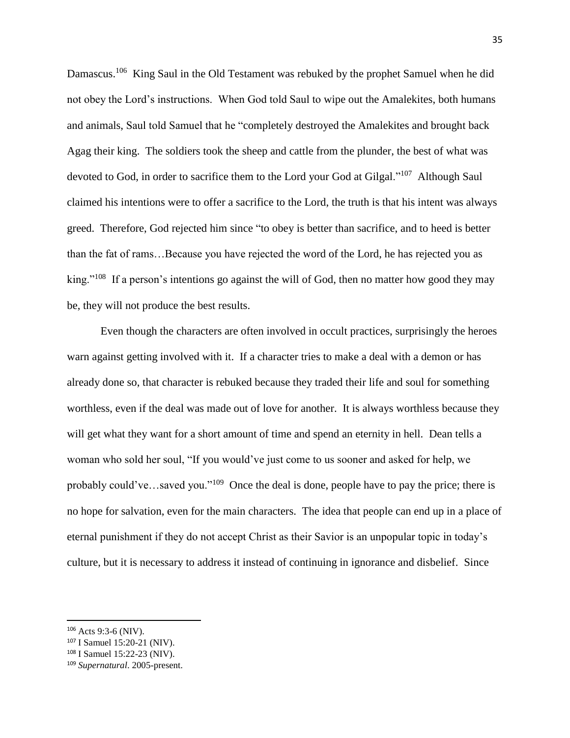Damascus.<sup>106</sup> King Saul in the Old Testament was rebuked by the prophet Samuel when he did not obey the Lord's instructions. When God told Saul to wipe out the Amalekites, both humans and animals, Saul told Samuel that he "completely destroyed the Amalekites and brought back Agag their king. The soldiers took the sheep and cattle from the plunder, the best of what was devoted to God, in order to sacrifice them to the Lord your God at Gilgal."<sup>107</sup> Although Saul claimed his intentions were to offer a sacrifice to the Lord, the truth is that his intent was always greed. Therefore, God rejected him since "to obey is better than sacrifice, and to heed is better than the fat of rams…Because you have rejected the word of the Lord, he has rejected you as king."<sup>108</sup> If a person's intentions go against the will of God, then no matter how good they may be, they will not produce the best results.

Even though the characters are often involved in occult practices, surprisingly the heroes warn against getting involved with it. If a character tries to make a deal with a demon or has already done so, that character is rebuked because they traded their life and soul for something worthless, even if the deal was made out of love for another. It is always worthless because they will get what they want for a short amount of time and spend an eternity in hell. Dean tells a woman who sold her soul, "If you would've just come to us sooner and asked for help, we probably could've...saved you."<sup>109</sup> Once the deal is done, people have to pay the price; there is no hope for salvation, even for the main characters. The idea that people can end up in a place of eternal punishment if they do not accept Christ as their Savior is an unpopular topic in today's culture, but it is necessary to address it instead of continuing in ignorance and disbelief. Since

<sup>106</sup> Acts 9:3-6 (NIV).

<sup>107</sup> I Samuel 15:20-21 (NIV).

<sup>108</sup> I Samuel 15:22-23 (NIV).

<sup>109</sup> *Supernatural*. 2005-present.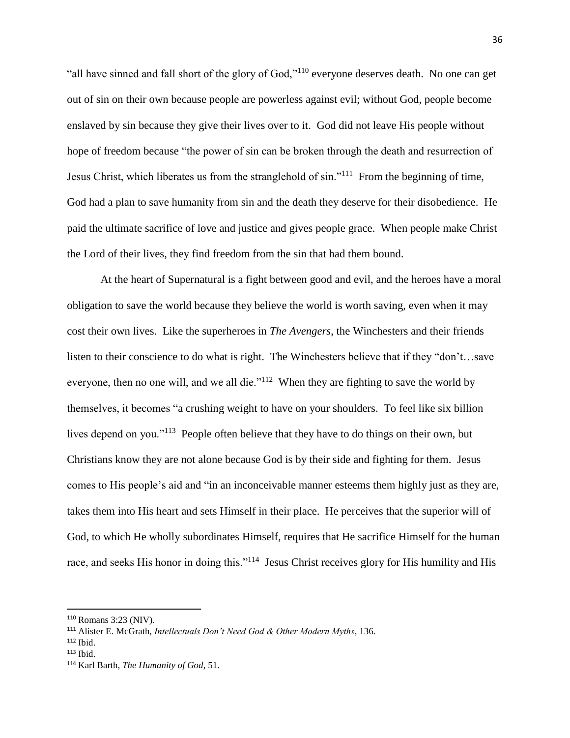"all have sinned and fall short of the glory of God,"<sup>110</sup> everyone deserves death. No one can get out of sin on their own because people are powerless against evil; without God, people become enslaved by sin because they give their lives over to it. God did not leave His people without hope of freedom because "the power of sin can be broken through the death and resurrection of Jesus Christ, which liberates us from the stranglehold of sin."<sup>111</sup> From the beginning of time, God had a plan to save humanity from sin and the death they deserve for their disobedience. He paid the ultimate sacrifice of love and justice and gives people grace. When people make Christ the Lord of their lives, they find freedom from the sin that had them bound.

At the heart of Supernatural is a fight between good and evil, and the heroes have a moral obligation to save the world because they believe the world is worth saving, even when it may cost their own lives. Like the superheroes in *The Avengers*, the Winchesters and their friends listen to their conscience to do what is right. The Winchesters believe that if they "don't…save everyone, then no one will, and we all die."<sup>112</sup> When they are fighting to save the world by themselves, it becomes "a crushing weight to have on your shoulders. To feel like six billion lives depend on you."<sup>113</sup> People often believe that they have to do things on their own, but Christians know they are not alone because God is by their side and fighting for them. Jesus comes to His people's aid and "in an inconceivable manner esteems them highly just as they are, takes them into His heart and sets Himself in their place. He perceives that the superior will of God, to which He wholly subordinates Himself, requires that He sacrifice Himself for the human race, and seeks His honor in doing this."<sup>114</sup> Jesus Christ receives glory for His humility and His

<sup>110</sup> Romans 3:23 (NIV).

<sup>111</sup> Alister E. McGrath, *Intellectuals Don't Need God & Other Modern Myths*, 136.

<sup>112</sup> Ibid.

 $113$  Ibid.

<sup>114</sup> Karl Barth, *The Humanity of God*, 51.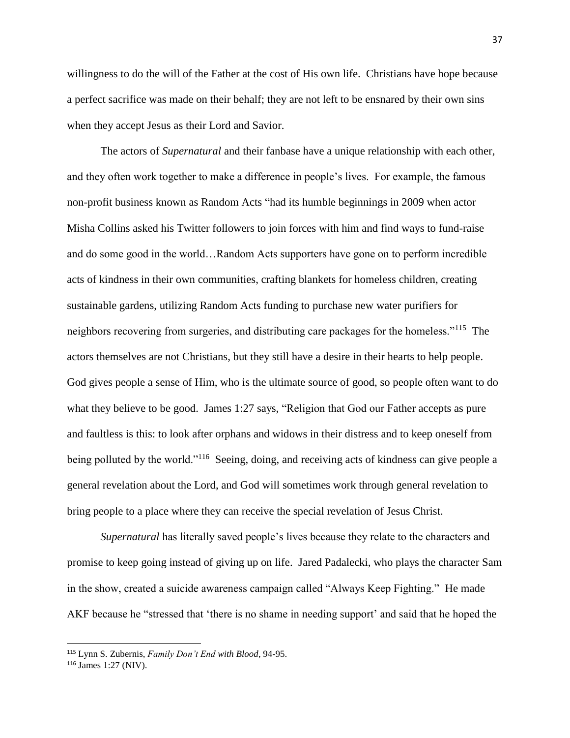willingness to do the will of the Father at the cost of His own life. Christians have hope because a perfect sacrifice was made on their behalf; they are not left to be ensnared by their own sins when they accept Jesus as their Lord and Savior.

The actors of *Supernatural* and their fanbase have a unique relationship with each other, and they often work together to make a difference in people's lives. For example, the famous non-profit business known as Random Acts "had its humble beginnings in 2009 when actor Misha Collins asked his Twitter followers to join forces with him and find ways to fund-raise and do some good in the world…Random Acts supporters have gone on to perform incredible acts of kindness in their own communities, crafting blankets for homeless children, creating sustainable gardens, utilizing Random Acts funding to purchase new water purifiers for neighbors recovering from surgeries, and distributing care packages for the homeless."<sup>115</sup> The actors themselves are not Christians, but they still have a desire in their hearts to help people. God gives people a sense of Him, who is the ultimate source of good, so people often want to do what they believe to be good. James 1:27 says, "Religion that God our Father accepts as pure and faultless is this: to look after orphans and widows in their distress and to keep oneself from being polluted by the world."<sup>116</sup> Seeing, doing, and receiving acts of kindness can give people a general revelation about the Lord, and God will sometimes work through general revelation to bring people to a place where they can receive the special revelation of Jesus Christ.

*Supernatural* has literally saved people's lives because they relate to the characters and promise to keep going instead of giving up on life. Jared Padalecki, who plays the character Sam in the show, created a suicide awareness campaign called "Always Keep Fighting." He made AKF because he "stressed that 'there is no shame in needing support' and said that he hoped the

<sup>115</sup> Lynn S. Zubernis, *Family Don't End with Blood*, 94-95.

<sup>116</sup> James 1:27 (NIV).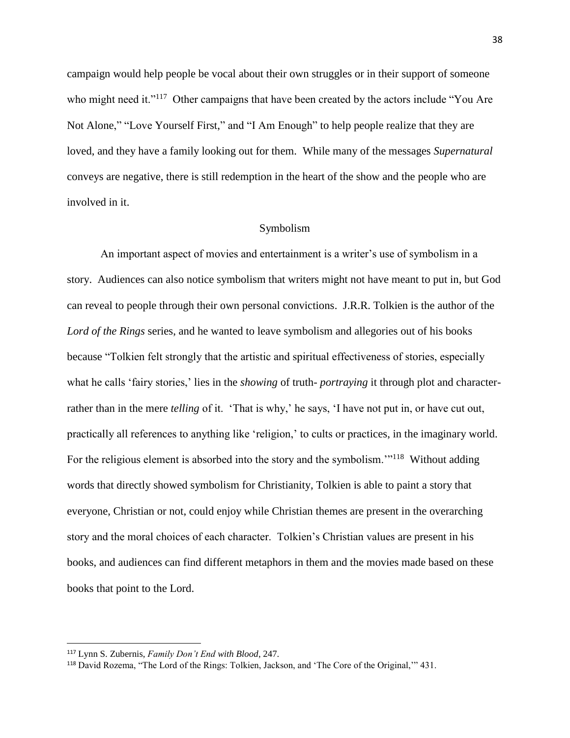campaign would help people be vocal about their own struggles or in their support of someone who might need it."<sup>117</sup> Other campaigns that have been created by the actors include "You Are Not Alone," "Love Yourself First," and "I Am Enough" to help people realize that they are loved, and they have a family looking out for them. While many of the messages *Supernatural*  conveys are negative, there is still redemption in the heart of the show and the people who are involved in it.

#### Symbolism

An important aspect of movies and entertainment is a writer's use of symbolism in a story. Audiences can also notice symbolism that writers might not have meant to put in, but God can reveal to people through their own personal convictions. J.R.R. Tolkien is the author of the *Lord of the Rings* series, and he wanted to leave symbolism and allegories out of his books because "Tolkien felt strongly that the artistic and spiritual effectiveness of stories, especially what he calls 'fairy stories,' lies in the *showing* of truth-*portraying* it through plot and characterrather than in the mere *telling* of it. 'That is why,' he says, 'I have not put in, or have cut out, practically all references to anything like 'religion,' to cults or practices, in the imaginary world. For the religious element is absorbed into the story and the symbolism."<sup>118</sup> Without adding words that directly showed symbolism for Christianity, Tolkien is able to paint a story that everyone, Christian or not, could enjoy while Christian themes are present in the overarching story and the moral choices of each character. Tolkien's Christian values are present in his books, and audiences can find different metaphors in them and the movies made based on these books that point to the Lord.

<sup>117</sup> Lynn S. Zubernis, *Family Don't End with Blood*, 247.

<sup>118</sup> David Rozema, "The Lord of the Rings: Tolkien, Jackson, and 'The Core of the Original,'" 431.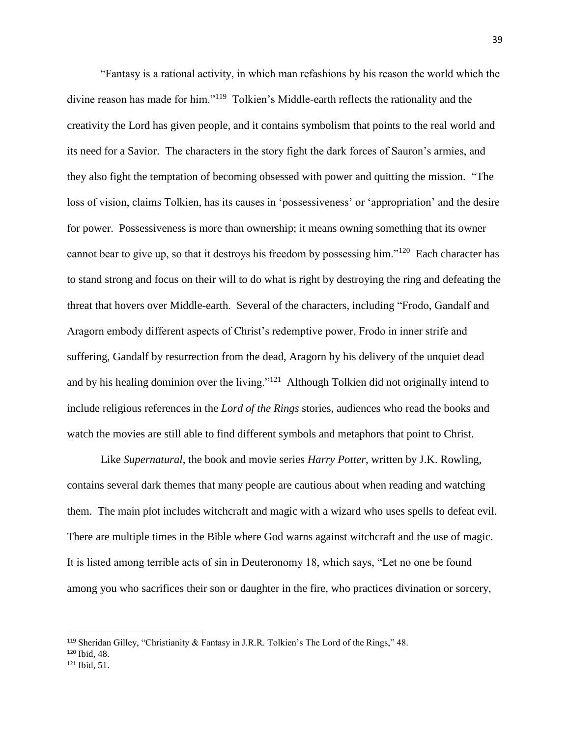"Fantasy is a rational activity, in which man refashions by his reason the world which the divine reason has made for him."<sup>119</sup> Tolkien's Middle-earth reflects the rationality and the creativity the Lord has given people, and it contains symbolism that points to the real world and its need for a Savior. The characters in the story fight the dark forces of Sauron's armies, and they also fight the temptation of becoming obsessed with power and quitting the mission. "The loss of vision, claims Tolkien, has its causes in 'possessiveness' or 'appropriation' and the desire for power. Possessiveness is more than ownership; it means owning something that its owner cannot bear to give up, so that it destroys his freedom by possessing him."<sup>120</sup> Each character has to stand strong and focus on their will to do what is right by destroying the ring and defeating the threat that hovers over Middle-earth. Several of the characters, including "Frodo, Gandalf and Aragorn embody different aspects of Christ's redemptive power, Frodo in inner strife and suffering, Gandalf by resurrection from the dead, Aragorn by his delivery of the unquiet dead and by his healing dominion over the living."<sup>121</sup> Although Tolkien did not originally intend to include religious references in the *Lord of the Rings* stories, audiences who read the books and watch the movies are still able to find different symbols and metaphors that point to Christ.

Like *Supernatural*, the book and movie series *Harry Potter*, written by J.K. Rowling, contains several dark themes that many people are cautious about when reading and watching them. The main plot includes witchcraft and magic with a wizard who uses spells to defeat evil. There are multiple times in the Bible where God warns against witchcraft and the use of magic. It is listed among terrible acts of sin in Deuteronomy 18, which says, "Let no one be found among you who sacrifices their son or daughter in the fire, who practices divination or sorcery,

 $\overline{a}$ 

<sup>119</sup> Sheridan Gilley, "Christianity & Fantasy in J.R.R. Tolkien's The Lord of the Rings," 48.

<sup>120</sup> Ibid, 48.

<sup>121</sup> Ibid, 51.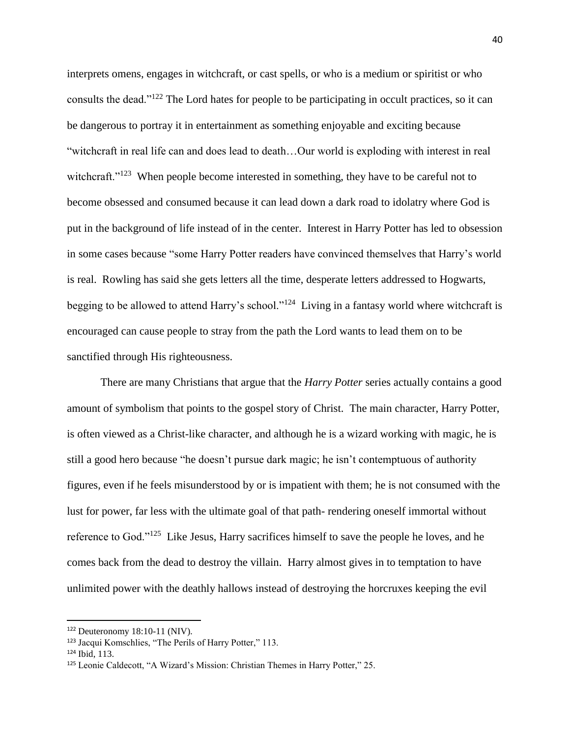interprets omens, engages in witchcraft, or cast spells, or who is a medium or spiritist or who consults the dead."<sup>122</sup> The Lord hates for people to be participating in occult practices, so it can be dangerous to portray it in entertainment as something enjoyable and exciting because "witchcraft in real life can and does lead to death…Our world is exploding with interest in real witchcraft."<sup>123</sup> When people become interested in something, they have to be careful not to become obsessed and consumed because it can lead down a dark road to idolatry where God is put in the background of life instead of in the center. Interest in Harry Potter has led to obsession in some cases because "some Harry Potter readers have convinced themselves that Harry's world is real. Rowling has said she gets letters all the time, desperate letters addressed to Hogwarts, begging to be allowed to attend Harry's school."<sup>124</sup> Living in a fantasy world where witchcraft is encouraged can cause people to stray from the path the Lord wants to lead them on to be sanctified through His righteousness.

There are many Christians that argue that the *Harry Potter* series actually contains a good amount of symbolism that points to the gospel story of Christ. The main character, Harry Potter, is often viewed as a Christ-like character, and although he is a wizard working with magic, he is still a good hero because "he doesn't pursue dark magic; he isn't contemptuous of authority figures, even if he feels misunderstood by or is impatient with them; he is not consumed with the lust for power, far less with the ultimate goal of that path- rendering oneself immortal without reference to God."<sup>125</sup> Like Jesus, Harry sacrifices himself to save the people he loves, and he comes back from the dead to destroy the villain. Harry almost gives in to temptation to have unlimited power with the deathly hallows instead of destroying the horcruxes keeping the evil

 $122$  Deuteronomy 18:10-11 (NIV).

<sup>123</sup> Jacqui Komschlies, "The Perils of Harry Potter," 113.

<sup>124</sup> Ibid, 113.

<sup>125</sup> Leonie Caldecott, "A Wizard's Mission: Christian Themes in Harry Potter," 25.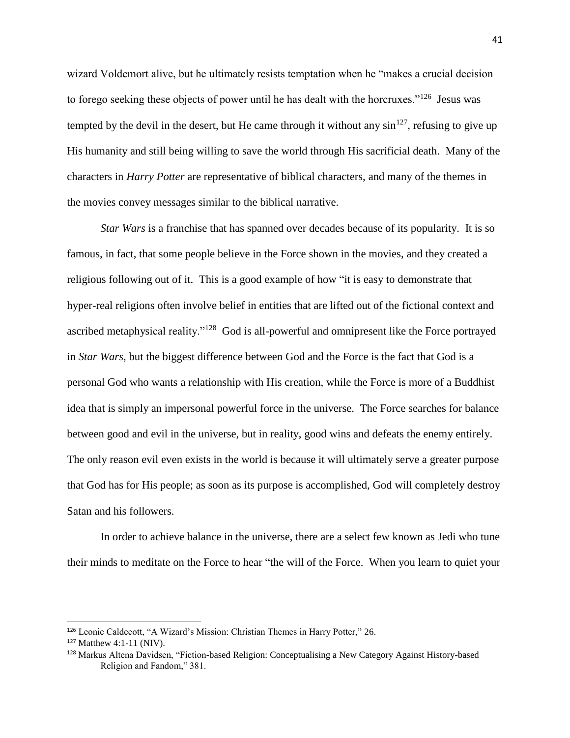wizard Voldemort alive, but he ultimately resists temptation when he "makes a crucial decision to forego seeking these objects of power until he has dealt with the horcruxes."<sup>126</sup> Jesus was tempted by the devil in the desert, but He came through it without any  $\sin^{127}$ , refusing to give up His humanity and still being willing to save the world through His sacrificial death. Many of the characters in *Harry Potter* are representative of biblical characters, and many of the themes in the movies convey messages similar to the biblical narrative.

*Star Wars* is a franchise that has spanned over decades because of its popularity. It is so famous, in fact, that some people believe in the Force shown in the movies, and they created a religious following out of it. This is a good example of how "it is easy to demonstrate that hyper-real religions often involve belief in entities that are lifted out of the fictional context and ascribed metaphysical reality."<sup>128</sup> God is all-powerful and omnipresent like the Force portrayed in *Star Wars*, but the biggest difference between God and the Force is the fact that God is a personal God who wants a relationship with His creation, while the Force is more of a Buddhist idea that is simply an impersonal powerful force in the universe. The Force searches for balance between good and evil in the universe, but in reality, good wins and defeats the enemy entirely. The only reason evil even exists in the world is because it will ultimately serve a greater purpose that God has for His people; as soon as its purpose is accomplished, God will completely destroy Satan and his followers.

In order to achieve balance in the universe, there are a select few known as Jedi who tune their minds to meditate on the Force to hear "the will of the Force. When you learn to quiet your

<sup>126</sup> Leonie Caldecott, "A Wizard's Mission: Christian Themes in Harry Potter," 26.

 $127$  Matthew 4:1-11 (NIV).

<sup>128</sup> Markus Altena Davidsen, "Fiction-based Religion: Conceptualising a New Category Against History-based Religion and Fandom," 381.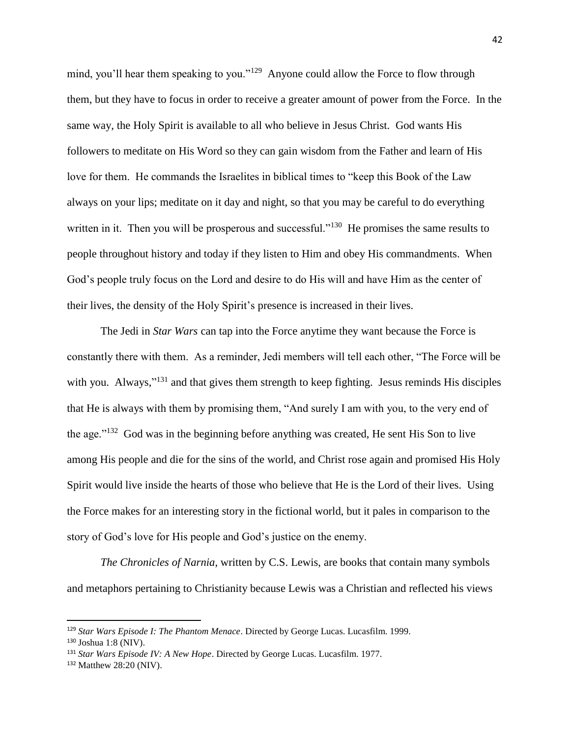mind, you'll hear them speaking to you."<sup>129</sup> Anyone could allow the Force to flow through them, but they have to focus in order to receive a greater amount of power from the Force. In the same way, the Holy Spirit is available to all who believe in Jesus Christ. God wants His followers to meditate on His Word so they can gain wisdom from the Father and learn of His love for them. He commands the Israelites in biblical times to "keep this Book of the Law always on your lips; meditate on it day and night, so that you may be careful to do everything written in it. Then you will be prosperous and successful."<sup>130</sup> He promises the same results to people throughout history and today if they listen to Him and obey His commandments. When God's people truly focus on the Lord and desire to do His will and have Him as the center of their lives, the density of the Holy Spirit's presence is increased in their lives.

The Jedi in *Star Wars* can tap into the Force anytime they want because the Force is constantly there with them. As a reminder, Jedi members will tell each other, "The Force will be with you. Always,"<sup>131</sup> and that gives them strength to keep fighting. Jesus reminds His disciples that He is always with them by promising them, "And surely I am with you, to the very end of the age."<sup>132</sup> God was in the beginning before anything was created, He sent His Son to live among His people and die for the sins of the world, and Christ rose again and promised His Holy Spirit would live inside the hearts of those who believe that He is the Lord of their lives. Using the Force makes for an interesting story in the fictional world, but it pales in comparison to the story of God's love for His people and God's justice on the enemy.

*The Chronicles of Narnia*, written by C.S. Lewis, are books that contain many symbols and metaphors pertaining to Christianity because Lewis was a Christian and reflected his views

<sup>129</sup> *Star Wars Episode I: The Phantom Menace*. Directed by George Lucas. Lucasfilm. 1999.

<sup>130</sup> Joshua 1:8 (NIV).

<sup>131</sup> *Star Wars Episode IV: A New Hope*. Directed by George Lucas. Lucasfilm. 1977.

<sup>132</sup> Matthew 28:20 (NIV).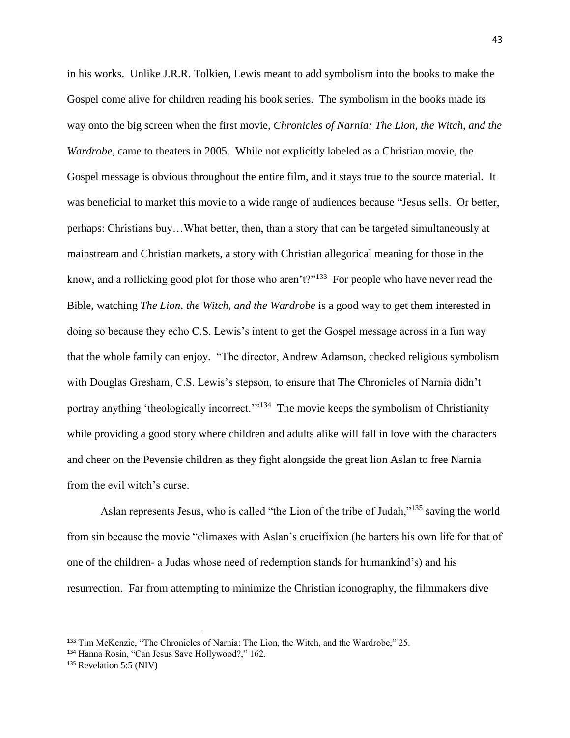in his works. Unlike J.R.R. Tolkien, Lewis meant to add symbolism into the books to make the Gospel come alive for children reading his book series. The symbolism in the books made its way onto the big screen when the first movie, *Chronicles of Narnia: The Lion, the Witch, and the Wardrobe*, came to theaters in 2005. While not explicitly labeled as a Christian movie, the Gospel message is obvious throughout the entire film, and it stays true to the source material. It was beneficial to market this movie to a wide range of audiences because "Jesus sells. Or better, perhaps: Christians buy…What better, then, than a story that can be targeted simultaneously at mainstream and Christian markets, a story with Christian allegorical meaning for those in the know, and a rollicking good plot for those who aren't?"<sup>133</sup> For people who have never read the Bible, watching *The Lion, the Witch, and the Wardrobe* is a good way to get them interested in doing so because they echo C.S. Lewis's intent to get the Gospel message across in a fun way that the whole family can enjoy. "The director, Andrew Adamson, checked religious symbolism with Douglas Gresham, C.S. Lewis's stepson, to ensure that The Chronicles of Narnia didn't portray anything 'theologically incorrect."<sup>134</sup> The movie keeps the symbolism of Christianity while providing a good story where children and adults alike will fall in love with the characters and cheer on the Pevensie children as they fight alongside the great lion Aslan to free Narnia from the evil witch's curse.

Aslan represents Jesus, who is called "the Lion of the tribe of Judah,"<sup>135</sup> saving the world from sin because the movie "climaxes with Aslan's crucifixion (he barters his own life for that of one of the children- a Judas whose need of redemption stands for humankind's) and his resurrection. Far from attempting to minimize the Christian iconography, the filmmakers dive

 $\overline{a}$ 

<sup>133</sup> Tim McKenzie, "The Chronicles of Narnia: The Lion, the Witch, and the Wardrobe," 25.

<sup>134</sup> Hanna Rosin, "Can Jesus Save Hollywood?," 162.

<sup>&</sup>lt;sup>135</sup> Revelation 5:5 (NIV)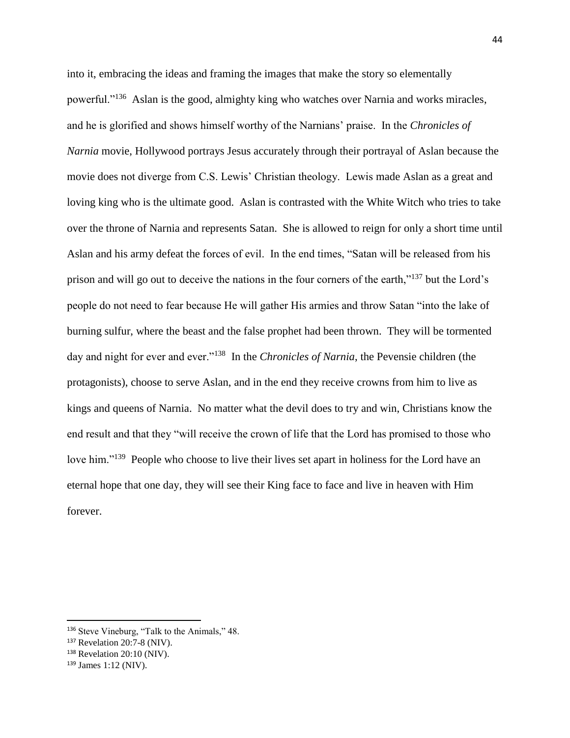into it, embracing the ideas and framing the images that make the story so elementally powerful."<sup>136</sup> Aslan is the good, almighty king who watches over Narnia and works miracles, and he is glorified and shows himself worthy of the Narnians' praise. In the *Chronicles of Narnia* movie, Hollywood portrays Jesus accurately through their portrayal of Aslan because the movie does not diverge from C.S. Lewis' Christian theology. Lewis made Aslan as a great and loving king who is the ultimate good. Aslan is contrasted with the White Witch who tries to take over the throne of Narnia and represents Satan. She is allowed to reign for only a short time until Aslan and his army defeat the forces of evil. In the end times, "Satan will be released from his prison and will go out to deceive the nations in the four corners of the earth,"<sup>137</sup> but the Lord's people do not need to fear because He will gather His armies and throw Satan "into the lake of burning sulfur, where the beast and the false prophet had been thrown. They will be tormented day and night for ever and ever."<sup>138</sup> In the *Chronicles of Narnia*, the Pevensie children (the protagonists), choose to serve Aslan, and in the end they receive crowns from him to live as kings and queens of Narnia. No matter what the devil does to try and win, Christians know the end result and that they "will receive the crown of life that the Lord has promised to those who love him."<sup>139</sup> People who choose to live their lives set apart in holiness for the Lord have an eternal hope that one day, they will see their King face to face and live in heaven with Him forever.

<sup>136</sup> Steve Vineburg, "Talk to the Animals," 48.

<sup>137</sup> Revelation 20:7-8 (NIV).

<sup>&</sup>lt;sup>138</sup> Revelation 20:10 (NIV).

<sup>139</sup> James 1:12 (NIV).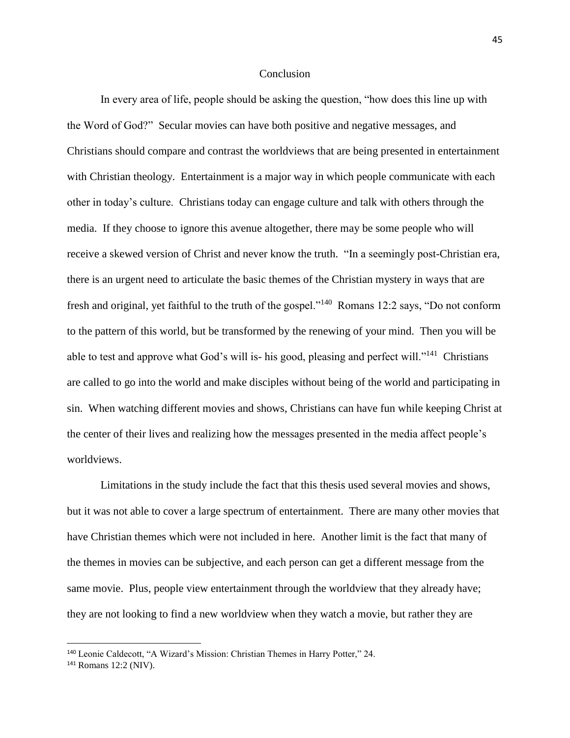#### Conclusion

In every area of life, people should be asking the question, "how does this line up with the Word of God?" Secular movies can have both positive and negative messages, and Christians should compare and contrast the worldviews that are being presented in entertainment with Christian theology. Entertainment is a major way in which people communicate with each other in today's culture. Christians today can engage culture and talk with others through the media. If they choose to ignore this avenue altogether, there may be some people who will receive a skewed version of Christ and never know the truth. "In a seemingly post-Christian era, there is an urgent need to articulate the basic themes of the Christian mystery in ways that are fresh and original, yet faithful to the truth of the gospel."<sup>140</sup> Romans 12:2 says, "Do not conform to the pattern of this world, but be transformed by the renewing of your mind. Then you will be able to test and approve what God's will is- his good, pleasing and perfect will."<sup>141</sup> Christians are called to go into the world and make disciples without being of the world and participating in sin. When watching different movies and shows, Christians can have fun while keeping Christ at the center of their lives and realizing how the messages presented in the media affect people's worldviews.

Limitations in the study include the fact that this thesis used several movies and shows, but it was not able to cover a large spectrum of entertainment. There are many other movies that have Christian themes which were not included in here. Another limit is the fact that many of the themes in movies can be subjective, and each person can get a different message from the same movie. Plus, people view entertainment through the worldview that they already have; they are not looking to find a new worldview when they watch a movie, but rather they are

<sup>140</sup> Leonie Caldecott, "A Wizard's Mission: Christian Themes in Harry Potter," 24.

<sup>141</sup> Romans 12:2 (NIV).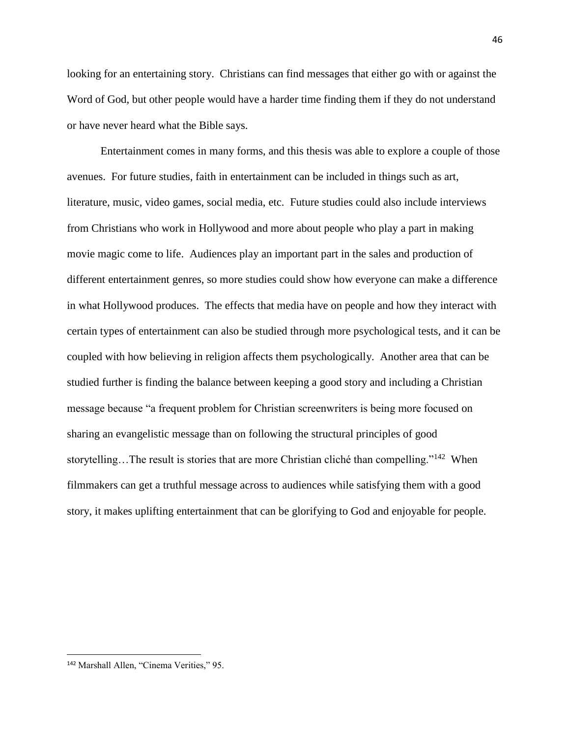looking for an entertaining story. Christians can find messages that either go with or against the Word of God, but other people would have a harder time finding them if they do not understand or have never heard what the Bible says.

Entertainment comes in many forms, and this thesis was able to explore a couple of those avenues. For future studies, faith in entertainment can be included in things such as art, literature, music, video games, social media, etc. Future studies could also include interviews from Christians who work in Hollywood and more about people who play a part in making movie magic come to life. Audiences play an important part in the sales and production of different entertainment genres, so more studies could show how everyone can make a difference in what Hollywood produces. The effects that media have on people and how they interact with certain types of entertainment can also be studied through more psychological tests, and it can be coupled with how believing in religion affects them psychologically. Another area that can be studied further is finding the balance between keeping a good story and including a Christian message because "a frequent problem for Christian screenwriters is being more focused on sharing an evangelistic message than on following the structural principles of good storytelling...The result is stories that are more Christian cliché than compelling."<sup>142</sup> When filmmakers can get a truthful message across to audiences while satisfying them with a good story, it makes uplifting entertainment that can be glorifying to God and enjoyable for people.

<sup>142</sup> Marshall Allen, "Cinema Verities," 95.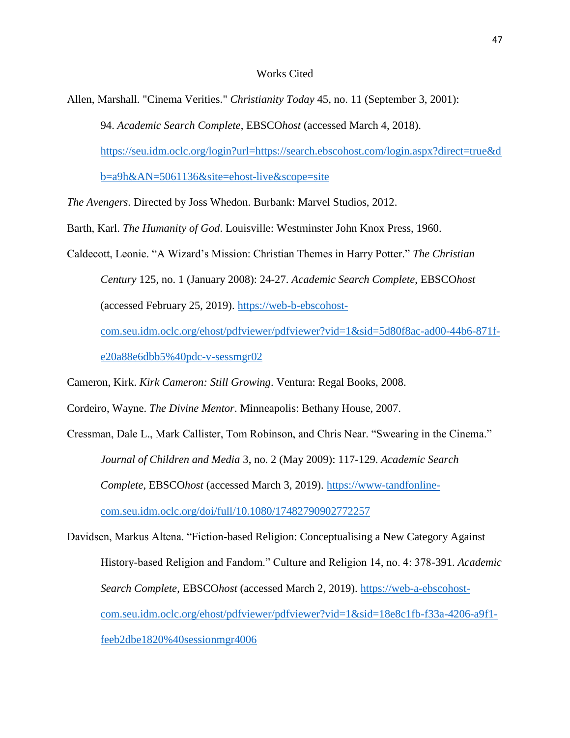#### Works Cited

Allen, Marshall. "Cinema Verities." *Christianity Today* 45, no. 11 (September 3, 2001):

94. *Academic Search Complete*, EBSCO*host* (accessed March 4, 2018).

[https://seu.idm.oclc.org/login?url=https://search.ebscohost.com/login.aspx?direct=true&d](https://seu.idm.oclc.org/login?url=https://search.ebscohost.com/login.aspx?direct=true&db=a9h&AN=5061136&site=ehost-live&scope=site)

[b=a9h&AN=5061136&site=ehost-live&scope=site](https://seu.idm.oclc.org/login?url=https://search.ebscohost.com/login.aspx?direct=true&db=a9h&AN=5061136&site=ehost-live&scope=site)

*The Avengers*. Directed by Joss Whedon. Burbank: Marvel Studios, 2012.

Barth, Karl. *The Humanity of God*. Louisville: Westminster John Knox Press, 1960.

Caldecott, Leonie. "A Wizard's Mission: Christian Themes in Harry Potter." *The Christian Century* 125, no. 1 (January 2008): 24-27. *Academic Search Complete*, EBSCO*host* (accessed February 25, 2019). [https://web-b-ebscohost](https://web-b-ebscohost-com.seu.idm.oclc.org/ehost/pdfviewer/pdfviewer?vid=1&sid=5d80f8ac-ad00-44b6-871f-e20a88e6dbb5%40pdc-v-sessmgr02)[com.seu.idm.oclc.org/ehost/pdfviewer/pdfviewer?vid=1&sid=5d80f8ac-ad00-44b6-871f-](https://web-b-ebscohost-com.seu.idm.oclc.org/ehost/pdfviewer/pdfviewer?vid=1&sid=5d80f8ac-ad00-44b6-871f-e20a88e6dbb5%40pdc-v-sessmgr02)

[e20a88e6dbb5%40pdc-v-sessmgr02](https://web-b-ebscohost-com.seu.idm.oclc.org/ehost/pdfviewer/pdfviewer?vid=1&sid=5d80f8ac-ad00-44b6-871f-e20a88e6dbb5%40pdc-v-sessmgr02)

Cameron, Kirk. *Kirk Cameron: Still Growing*. Ventura: Regal Books, 2008.

Cordeiro, Wayne. *The Divine Mentor*. Minneapolis: Bethany House, 2007.

Cressman, Dale L., Mark Callister, Tom Robinson, and Chris Near. "Swearing in the Cinema." *Journal of Children and Media* 3, no. 2 (May 2009): 117-129. *Academic Search Complete*, EBSCO*host* (accessed March 3, 2019). [https://www-tandfonline](https://www-tandfonline-com.seu.idm.oclc.org/doi/full/10.1080/17482790902772257)[com.seu.idm.oclc.org/doi/full/10.1080/17482790902772257](https://www-tandfonline-com.seu.idm.oclc.org/doi/full/10.1080/17482790902772257)

Davidsen, Markus Altena. "Fiction-based Religion: Conceptualising a New Category Against History-based Religion and Fandom." Culture and Religion 14, no. 4: 378-391. *Academic Search Complete*, EBSCO*host* (accessed March 2, 2019). [https://web-a-ebscohost](https://web-a-ebscohost-com.seu.idm.oclc.org/ehost/pdfviewer/pdfviewer?vid=1&sid=18e8c1fb-f33a-4206-a9f1-feeb2dbe1820%40sessionmgr4006)[com.seu.idm.oclc.org/ehost/pdfviewer/pdfviewer?vid=1&sid=18e8c1fb-f33a-4206-a9f1](https://web-a-ebscohost-com.seu.idm.oclc.org/ehost/pdfviewer/pdfviewer?vid=1&sid=18e8c1fb-f33a-4206-a9f1-feeb2dbe1820%40sessionmgr4006) [feeb2dbe1820%40sessionmgr4006](https://web-a-ebscohost-com.seu.idm.oclc.org/ehost/pdfviewer/pdfviewer?vid=1&sid=18e8c1fb-f33a-4206-a9f1-feeb2dbe1820%40sessionmgr4006)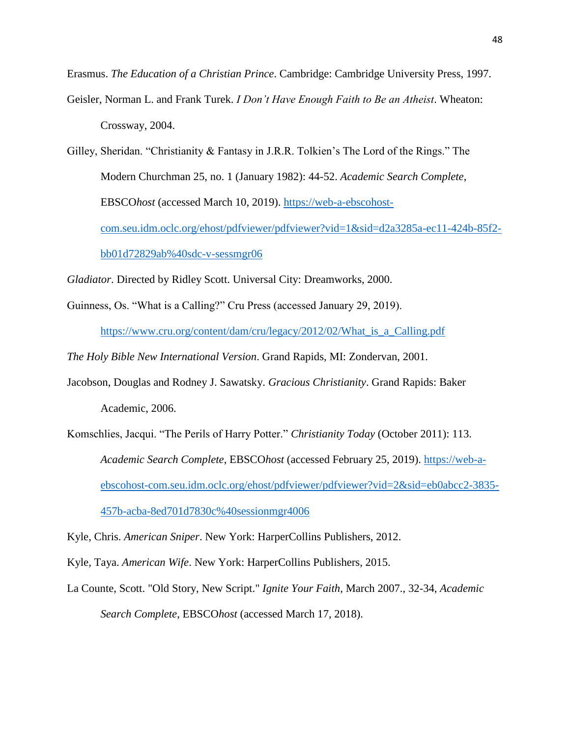Erasmus. *The Education of a Christian Prince*. Cambridge: Cambridge University Press, 1997.

Geisler, Norman L. and Frank Turek. *I Don't Have Enough Faith to Be an Atheist*. Wheaton: Crossway, 2004.

Gilley, Sheridan. "Christianity & Fantasy in J.R.R. Tolkien's The Lord of the Rings." The Modern Churchman 25, no. 1 (January 1982): 44-52. *Academic Search Complete*, EBSCO*host* (accessed March 10, 2019). [https://web-a-ebscohost](https://web-a-ebscohost-com.seu.idm.oclc.org/ehost/pdfviewer/pdfviewer?vid=1&sid=d2a3285a-ec11-424b-85f2-bb01d72829ab%40sdc-v-sessmgr06)[com.seu.idm.oclc.org/ehost/pdfviewer/pdfviewer?vid=1&sid=d2a3285a-ec11-424b-85f2](https://web-a-ebscohost-com.seu.idm.oclc.org/ehost/pdfviewer/pdfviewer?vid=1&sid=d2a3285a-ec11-424b-85f2-bb01d72829ab%40sdc-v-sessmgr06) [bb01d72829ab%40sdc-v-sessmgr06](https://web-a-ebscohost-com.seu.idm.oclc.org/ehost/pdfviewer/pdfviewer?vid=1&sid=d2a3285a-ec11-424b-85f2-bb01d72829ab%40sdc-v-sessmgr06)

*Gladiator*. Directed by Ridley Scott. Universal City: Dreamworks, 2000.

Guinness, Os. "What is a Calling?" Cru Press (accessed January 29, 2019).

[https://www.cru.org/content/dam/cru/legacy/2012/02/What\\_is\\_a\\_Calling.pdf](https://www.cru.org/content/dam/cru/legacy/2012/02/What_is_a_Calling.pdf)

*The Holy Bible New International Version*. Grand Rapids, MI: Zondervan, 2001.

- Jacobson, Douglas and Rodney J. Sawatsky. *Gracious Christianity*. Grand Rapids: Baker Academic, 2006.
- Komschlies, Jacqui. "The Perils of Harry Potter." *Christianity Today* (October 2011): 113. *Academic Search Complete*, EBSCO*host* (accessed February 25, 2019). [https://web-a](https://web-a-ebscohost-com.seu.idm.oclc.org/ehost/pdfviewer/pdfviewer?vid=2&sid=eb0abcc2-3835-457b-acba-8ed701d7830c%40sessionmgr4006)[ebscohost-com.seu.idm.oclc.org/ehost/pdfviewer/pdfviewer?vid=2&sid=eb0abcc2-3835-](https://web-a-ebscohost-com.seu.idm.oclc.org/ehost/pdfviewer/pdfviewer?vid=2&sid=eb0abcc2-3835-457b-acba-8ed701d7830c%40sessionmgr4006) [457b-acba-8ed701d7830c%40sessionmgr4006](https://web-a-ebscohost-com.seu.idm.oclc.org/ehost/pdfviewer/pdfviewer?vid=2&sid=eb0abcc2-3835-457b-acba-8ed701d7830c%40sessionmgr4006)

Kyle, Chris. *American Sniper*. New York: HarperCollins Publishers, 2012.

Kyle, Taya. *American Wife*. New York: HarperCollins Publishers, 2015.

La Counte, Scott. "Old Story, New Script." *Ignite Your Faith*, March 2007., 32-34, *Academic Search Complete*, EBSCO*host* (accessed March 17, 2018).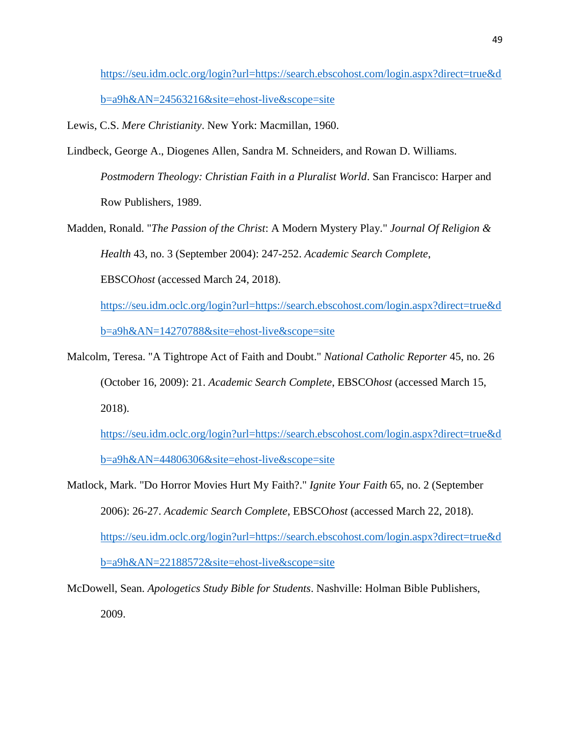[https://seu.idm.oclc.org/login?url=https://search.ebscohost.com/login.aspx?direct=true&d](https://seu.idm.oclc.org/login?url=https://search.ebscohost.com/login.aspx?direct=true&db=a9h&AN=24563216&site=ehost-live&scope=site) [b=a9h&AN=24563216&site=ehost-live&scope=site](https://seu.idm.oclc.org/login?url=https://search.ebscohost.com/login.aspx?direct=true&db=a9h&AN=24563216&site=ehost-live&scope=site)

Lewis, C.S. *Mere Christianity*. New York: Macmillan, 1960.

- Lindbeck, George A., Diogenes Allen, Sandra M. Schneiders, and Rowan D. Williams. *Postmodern Theology: Christian Faith in a Pluralist World*. San Francisco: Harper and Row Publishers, 1989.
- Madden, Ronald. "*The Passion of the Christ*: A Modern Mystery Play." *Journal Of Religion & Health* 43, no. 3 (September 2004): 247-252. *Academic Search Complete*, EBSCO*host* (accessed March 24, 2018). [https://seu.idm.oclc.org/login?url=https://search.ebscohost.com/login.aspx?direct=true&d](https://seu.idm.oclc.org/login?url=https://search.ebscohost.com/login.aspx?direct=true&db=a9h&AN=14270788&site=ehost-live&scope=site)

[b=a9h&AN=14270788&site=ehost-live&scope=site](https://seu.idm.oclc.org/login?url=https://search.ebscohost.com/login.aspx?direct=true&db=a9h&AN=14270788&site=ehost-live&scope=site)

Malcolm, Teresa. "A Tightrope Act of Faith and Doubt." *National Catholic Reporter* 45, no. 26 (October 16, 2009): 21. *Academic Search Complete*, EBSCO*host* (accessed March 15, 2018).

[https://seu.idm.oclc.org/login?url=https://search.ebscohost.com/login.aspx?direct=true&d](https://seu.idm.oclc.org/login?url=https://search.ebscohost.com/login.aspx?direct=true&db=a9h&AN=44806306&site=ehost-live&scope=site) [b=a9h&AN=44806306&site=ehost-live&scope=site](https://seu.idm.oclc.org/login?url=https://search.ebscohost.com/login.aspx?direct=true&db=a9h&AN=44806306&site=ehost-live&scope=site)

Matlock, Mark. "Do Horror Movies Hurt My Faith?." *Ignite Your Faith* 65, no. 2 (September 2006): 26-27. *Academic Search Complete*, EBSCO*host* (accessed March 22, 2018). [https://seu.idm.oclc.org/login?url=https://search.ebscohost.com/login.aspx?direct=true&d](https://seu.idm.oclc.org/login?url=https://search.ebscohost.com/login.aspx?direct=true&db=a9h&AN=22188572&site=ehost-live&scope=site) [b=a9h&AN=22188572&site=ehost-live&scope=site](https://seu.idm.oclc.org/login?url=https://search.ebscohost.com/login.aspx?direct=true&db=a9h&AN=22188572&site=ehost-live&scope=site)

McDowell, Sean. *Apologetics Study Bible for Students*. Nashville: Holman Bible Publishers, 2009.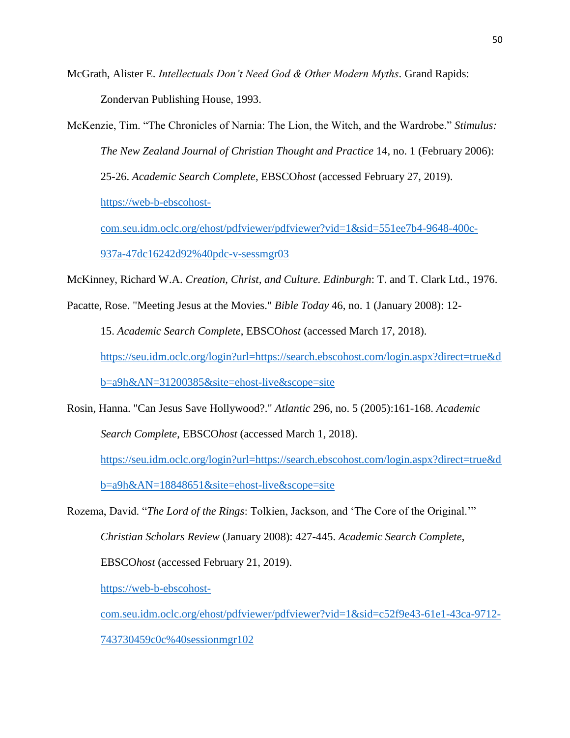McGrath, Alister E. *Intellectuals Don't Need God & Other Modern Myths*. Grand Rapids: Zondervan Publishing House, 1993.

McKenzie, Tim. "The Chronicles of Narnia: The Lion, the Witch, and the Wardrobe." *Stimulus: The New Zealand Journal of Christian Thought and Practice* 14, no. 1 (February 2006): 25-26. *Academic Search Complete*, EBSCO*host* (accessed February 27, 2019). [https://web-b-ebscohost-](https://web-b-ebscohost-com.seu.idm.oclc.org/ehost/pdfviewer/pdfviewer?vid=1&sid=551ee7b4-9648-400c-937a-47dc16242d92%40pdc-v-sessmgr03)

[com.seu.idm.oclc.org/ehost/pdfviewer/pdfviewer?vid=1&sid=551ee7b4-9648-400c-](https://web-b-ebscohost-com.seu.idm.oclc.org/ehost/pdfviewer/pdfviewer?vid=1&sid=551ee7b4-9648-400c-937a-47dc16242d92%40pdc-v-sessmgr03)[937a-47dc16242d92%40pdc-v-sessmgr03](https://web-b-ebscohost-com.seu.idm.oclc.org/ehost/pdfviewer/pdfviewer?vid=1&sid=551ee7b4-9648-400c-937a-47dc16242d92%40pdc-v-sessmgr03)

McKinney, Richard W.A. *Creation, Christ, and Culture. Edinburgh*: T. and T. Clark Ltd., 1976.

Pacatte, Rose. "Meeting Jesus at the Movies." *Bible Today* 46, no. 1 (January 2008): 12-

15. *Academic Search Complete*, EBSCO*host* (accessed March 17, 2018).

[https://seu.idm.oclc.org/login?url=https://search.ebscohost.com/login.aspx?direct=true&d](https://seu.idm.oclc.org/login?url=https://search.ebscohost.com/login.aspx?direct=true&db=a9h&AN=31200385&site=ehost-live&scope=site)

[b=a9h&AN=31200385&site=ehost-live&scope=site](https://seu.idm.oclc.org/login?url=https://search.ebscohost.com/login.aspx?direct=true&db=a9h&AN=31200385&site=ehost-live&scope=site)

Rosin, Hanna. "Can Jesus Save Hollywood?." *Atlantic* 296, no. 5 (2005):161-168. *Academic Search Complete*, EBSCO*host* (accessed March 1, 2018).

[https://seu.idm.oclc.org/login?url=https://search.ebscohost.com/login.aspx?direct=true&d](https://seu.idm.oclc.org/login?url=https://search.ebscohost.com/login.aspx?direct=true&db=a9h&AN=18848651&site=ehost-live&scope=site) [b=a9h&AN=18848651&site=ehost-live&scope=site](https://seu.idm.oclc.org/login?url=https://search.ebscohost.com/login.aspx?direct=true&db=a9h&AN=18848651&site=ehost-live&scope=site)

Rozema, David. "*The Lord of the Rings*: Tolkien, Jackson, and 'The Core of the Original.'" *Christian Scholars Review* (January 2008): 427-445. *Academic Search Complete*, EBSCO*host* (accessed February 21, 2019).

[https://web-b-ebscohost-](https://web-b-ebscohost-com.seu.idm.oclc.org/ehost/pdfviewer/pdfviewer?vid=1&sid=c52f9e43-61e1-43ca-9712-743730459c0c%40sessionmgr102)

[com.seu.idm.oclc.org/ehost/pdfviewer/pdfviewer?vid=1&sid=c52f9e43-61e1-43ca-9712-](https://web-b-ebscohost-com.seu.idm.oclc.org/ehost/pdfviewer/pdfviewer?vid=1&sid=c52f9e43-61e1-43ca-9712-743730459c0c%40sessionmgr102)

[743730459c0c%40sessionmgr102](https://web-b-ebscohost-com.seu.idm.oclc.org/ehost/pdfviewer/pdfviewer?vid=1&sid=c52f9e43-61e1-43ca-9712-743730459c0c%40sessionmgr102)